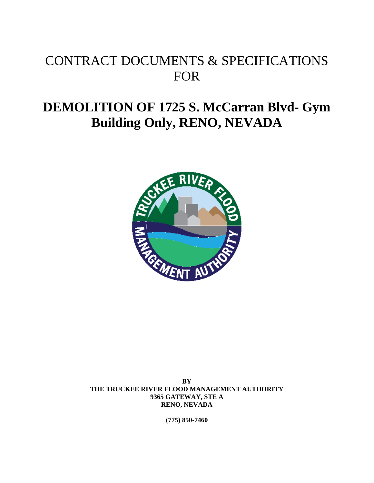# CONTRACT DOCUMENTS & SPECIFICATIONS FOR

# **DEMOLITION OF 1725 S. McCarran Blvd- Gym Building Only, RENO, NEVADA**



**BY THE TRUCKEE RIVER FLOOD MANAGEMENT AUTHORITY 9365 GATEWAY, STE A RENO, NEVADA** 

**(775) 850-7460**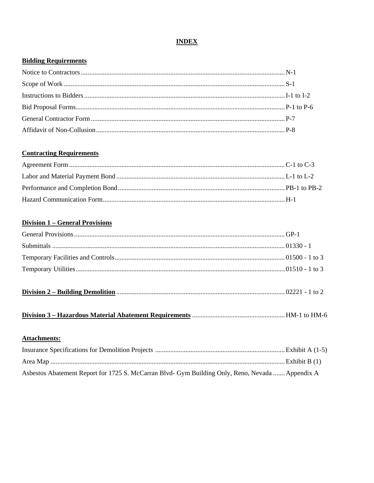# **INDEX**

# **Bidding Requirements**

### **Contracting Requirements**

# **Division 1 - General Provisions**

| <b>Attachments:</b>                                                                              |  |
|--------------------------------------------------------------------------------------------------|--|
|                                                                                                  |  |
|                                                                                                  |  |
| Asbestos Abatement Report for 1725 S. McCarran Blvd- Gym Building Only, Reno, Nevada  Appendix A |  |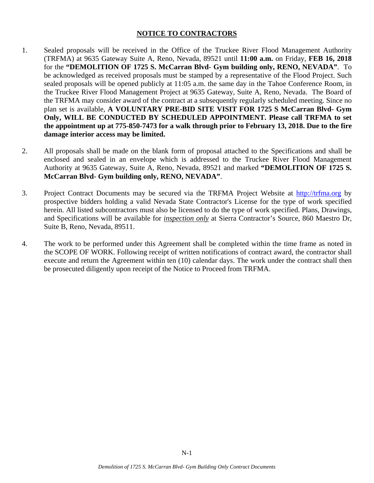# **NOTICE TO CONTRACTORS**

- 1. Sealed proposals will be received in the Office of the Truckee River Flood Management Authority (TRFMA) at 9635 Gateway Suite A, Reno, Nevada, 89521 until **11:00 a.m.** on Friday, **FEB 16, 2018** for the **"DEMOLITION OF 1725 S. McCarran Blvd- Gym building only, RENO, NEVADA"**. To be acknowledged as received proposals must be stamped by a representative of the Flood Project. Such sealed proposals will be opened publicly at 11:05 a.m. the same day in the Tahoe Conference Room, in the Truckee River Flood Management Project at 9635 Gateway, Suite A, Reno, Nevada. The Board of the TRFMA may consider award of the contract at a subsequently regularly scheduled meeting. Since no plan set is available, **A VOLUNTARY PRE-BID SITE VISIT FOR 1725 S McCarran Blvd- Gym Only, WILL BE CONDUCTED BY SCHEDULED APPOINTMENT. Please call TRFMA to set the appointment up at 775-850-7473 for a walk through prior to February 13, 2018. Due to the fire damage interior access may be limited.**
- 2. All proposals shall be made on the blank form of proposal attached to the Specifications and shall be enclosed and sealed in an envelope which is addressed to the Truckee River Flood Management Authority at 9635 Gateway, Suite A, Reno, Nevada, 89521 and marked **"DEMOLITION OF 1725 S. McCarran Blvd- Gym building only, RENO, NEVADA"**.
- 3. Project Contract Documents may be secured via the TRFMA Project Website at http://trfma.org by prospective bidders holding a valid Nevada State Contractor's License for the type of work specified herein. All listed subcontractors must also be licensed to do the type of work specified. Plans, Drawings, and Specifications will be available for *inspection only* at Sierra Contractor's Source, 860 Maestro Dr, Suite B, Reno, Nevada, 89511.
- 4. The work to be performed under this Agreement shall be completed within the time frame as noted in the SCOPE OF WORK. Following receipt of written notifications of contract award, the contractor shall execute and return the Agreement within ten (10) calendar days. The work under the contract shall then be prosecuted diligently upon receipt of the Notice to Proceed from TRFMA.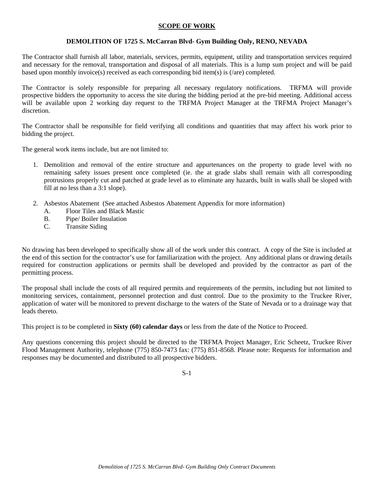#### **SCOPE OF WORK**

#### **DEMOLITION OF 1725 S. McCarran Blvd- Gym Building Only, RENO, NEVADA**

The Contractor shall furnish all labor, materials, services, permits, equipment, utility and transportation services required and necessary for the removal, transportation and disposal of all materials. This is a lump sum project and will be paid based upon monthly invoice(s) received as each corresponding bid item(s) is (/are) completed.

The Contractor is solely responsible for preparing all necessary regulatory notifications. TRFMA will provide prospective bidders the opportunity to access the site during the bidding period at the pre-bid meeting. Additional access will be available upon 2 working day request to the TRFMA Project Manager at the TRFMA Project Manager's discretion.

The Contractor shall be responsible for field verifying all conditions and quantities that may affect his work prior to bidding the project.

The general work items include, but are not limited to:

- 1. Demolition and removal of the entire structure and appurtenances on the property to grade level with no remaining safety issues present once completed (ie. the at grade slabs shall remain with all corresponding protrusions properly cut and patched at grade level as to eliminate any hazards, built in walls shall be sloped with fill at no less than a 3:1 slope).
- 2. Asbestos Abatement (See attached Asbestos Abatement Appendix for more information)
	- A. Floor Tiles and Black Mastic
	- B. Pipe/ Boiler Insulation
	- C. Transite Siding

No drawing has been developed to specifically show all of the work under this contract. A copy of the Site is included at the end of this section for the contractor's use for familiarization with the project. Any additional plans or drawing details required for construction applications or permits shall be developed and provided by the contractor as part of the permitting process.

The proposal shall include the costs of all required permits and requirements of the permits, including but not limited to monitoring services, containment, personnel protection and dust control. Due to the proximity to the Truckee River, application of water will be monitored to prevent discharge to the waters of the State of Nevada or to a drainage way that leads thereto.

This project is to be completed in **Sixty (60) calendar days** or less from the date of the Notice to Proceed.

Any questions concerning this project should be directed to the TRFMA Project Manager, Eric Scheetz, Truckee River Flood Management Authority, telephone (775) 850-7473 fax: (775) 851-8568. Please note: Requests for information and responses may be documented and distributed to all prospective bidders.

S-1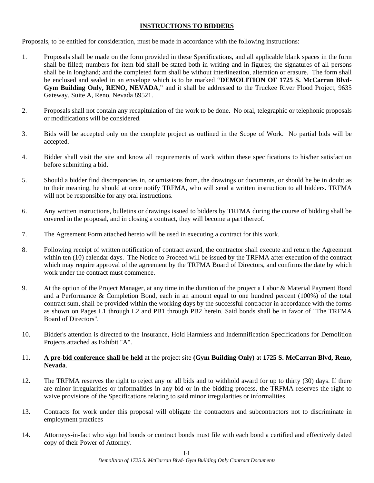# **INSTRUCTIONS TO BIDDERS**

Proposals, to be entitled for consideration, must be made in accordance with the following instructions:

- 1. Proposals shall be made on the form provided in these Specifications, and all applicable blank spaces in the form shall be filled; numbers for item bid shall be stated both in writing and in figures; the signatures of all persons shall be in longhand; and the completed form shall be without interlineation, alteration or erasure. The form shall be enclosed and sealed in an envelope which is to be marked "**DEMOLITION OF 1725 S. McCarran Blvd-Gym Building Only, RENO, NEVADA**," and it shall be addressed to the Truckee River Flood Project, 9635 Gateway, Suite A, Reno, Nevada 89521.
- 2. Proposals shall not contain any recapitulation of the work to be done. No oral, telegraphic or telephonic proposals or modifications will be considered.
- 3. Bids will be accepted only on the complete project as outlined in the Scope of Work. No partial bids will be accepted.
- 4. Bidder shall visit the site and know all requirements of work within these specifications to his/her satisfaction before submitting a bid.
- 5. Should a bidder find discrepancies in, or omissions from, the drawings or documents, or should he be in doubt as to their meaning, he should at once notify TRFMA, who will send a written instruction to all bidders. TRFMA will not be responsible for any oral instructions.
- 6. Any written instructions, bulletins or drawings issued to bidders by TRFMA during the course of bidding shall be covered in the proposal, and in closing a contract, they will become a part thereof.
- 7. The Agreement Form attached hereto will be used in executing a contract for this work.
- 8. Following receipt of written notification of contract award, the contractor shall execute and return the Agreement within ten (10) calendar days. The Notice to Proceed will be issued by the TRFMA after execution of the contract which may require approval of the agreement by the TRFMA Board of Directors, and confirms the date by which work under the contract must commence.
- 9. At the option of the Project Manager, at any time in the duration of the project a Labor & Material Payment Bond and a Performance & Completion Bond, each in an amount equal to one hundred percent (100%) of the total contract sum, shall be provided within the working days by the successful contractor in accordance with the forms as shown on Pages L1 through L2 and PB1 through PB2 herein. Said bonds shall be in favor of "The TRFMA Board of Directors".
- 10. Bidder's attention is directed to the Insurance, Hold Harmless and Indemnification Specifications for Demolition Projects attached as Exhibit "A".

#### 11. **A pre-bid conference shall be held** at the project site **(Gym Building Only)** at **1725 S. McCarran Blvd, Reno, Nevada**.

- 12. The TRFMA reserves the right to reject any or all bids and to withhold award for up to thirty (30) days. If there are minor irregularities or informalities in any bid or in the bidding process, the TRFMA reserves the right to waive provisions of the Specifications relating to said minor irregularities or informalities.
- 13. Contracts for work under this proposal will obligate the contractors and subcontractors not to discriminate in employment practices
- 14. Attorneys-in-fact who sign bid bonds or contract bonds must file with each bond a certified and effectively dated copy of their Power of Attorney.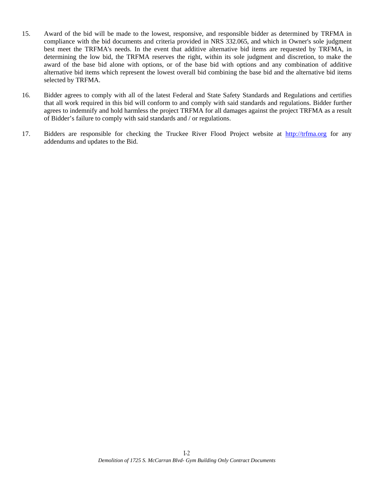- 15. Award of the bid will be made to the lowest, responsive, and responsible bidder as determined by TRFMA in compliance with the bid documents and criteria provided in NRS 332.065, and which in Owner's sole judgment best meet the TRFMA's needs. In the event that additive alternative bid items are requested by TRFMA, in determining the low bid, the TRFMA reserves the right, within its sole judgment and discretion, to make the award of the base bid alone with options, or of the base bid with options and any combination of additive alternative bid items which represent the lowest overall bid combining the base bid and the alternative bid items selected by TRFMA.
- 16. Bidder agrees to comply with all of the latest Federal and State Safety Standards and Regulations and certifies that all work required in this bid will conform to and comply with said standards and regulations. Bidder further agrees to indemnify and hold harmless the project TRFMA for all damages against the project TRFMA as a result of Bidder's failure to comply with said standards and / or regulations.
- 17. Bidders are responsible for checking the Truckee River Flood Project website at http://trfma.org for any addendums and updates to the Bid.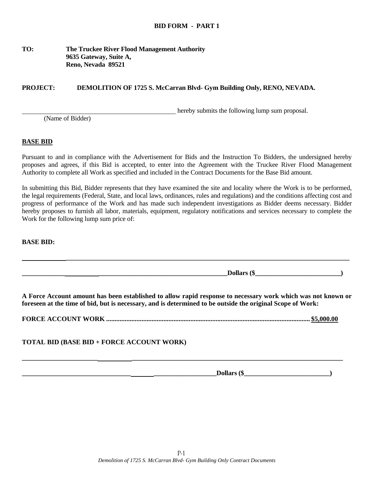#### **TO: The Truckee River Flood Management Authority 9635 Gateway, Suite A, Reno, Nevada 89521**

#### **PROJECT: DEMOLITION OF 1725 S. McCarran Blvd- Gym Building Only, RENO, NEVADA.**

hereby submits the following lump sum proposal.

(Name of Bidder)

#### **BASE BID**

Pursuant to and in compliance with the Advertisement for Bids and the Instruction To Bidders, the undersigned hereby proposes and agrees, if this Bid is accepted, to enter into the Agreement with the Truckee River Flood Management Authority to complete all Work as specified and included in the Contract Documents for the Base Bid amount.

In submitting this Bid, Bidder represents that they have examined the site and locality where the Work is to be performed, the legal requirements (Federal, State, and local laws, ordinances, rules and regulations) and the conditions affecting cost and progress of performance of the Work and has made such independent investigations as Bidder deems necessary. Bidder hereby proposes to furnish all labor, materials, equipment, regulatory notifications and services necessary to complete the Work for the following lump sum price of:

**BASE BID:** 

**A Force Account amount has been established to allow rapid response to necessary work which was not known or foreseen at the time of bid, but is necessary, and is determined to be outside the original Scope of Work:** 

 **\_\_\_\_\_\_\_\_\_\_\_\_\_\_\_\_\_\_\_\_\_\_\_\_\_\_\_\_\_\_\_\_\_\_\_\_\_\_\_\_\_\_\_\_\_\_\_\_\_\_\_\_\_\_\_\_\_\_\_\_\_\_\_\_\_\_\_\_\_\_\_\_\_\_\_\_\_\_\_\_\_\_\_\_\_\_** 

**FORCE ACCOUNT WORK ......................................................................................................................... \$5,000.00** 

**\_\_\_\_\_\_\_\_\_\_\_\_\_\_\_\_\_\_\_\_\_\_\_ \_\_\_\_\_\_\_\_\_\_\_\_\_\_\_\_\_\_\_\_\_\_\_\_\_\_\_\_\_\_\_\_\_\_\_\_\_\_\_\_\_\_\_\_\_\_\_\_\_\_\_\_\_\_\_\_\_\_\_\_\_\_\_\_** 

**TOTAL BID (BASE BID + FORCE ACCOUNT WORK)** 

**\_\_\_\_\_\_\_\_\_\_\_\_\_\_\_\_\_\_\_\_\_\_\_\_\_\_\_\_\_\_\_\_\_ \_\_\_\_\_\_\_\_\_\_\_\_\_\_\_\_\_\_\_Dollars (\$\_\_\_\_\_\_\_\_\_\_\_\_\_\_\_\_\_\_\_\_\_\_\_\_\_\_)** 

**\_\_\_\_\_\_\_\_\_\_\_\_\_ \_\_\_\_\_\_\_\_\_\_\_\_\_\_\_\_\_\_\_\_\_\_\_\_\_\_\_\_\_\_\_\_\_\_\_\_\_\_\_Dollars (\$\_\_\_\_\_\_\_\_\_\_\_\_\_\_\_\_\_\_\_\_\_\_\_\_\_\_)**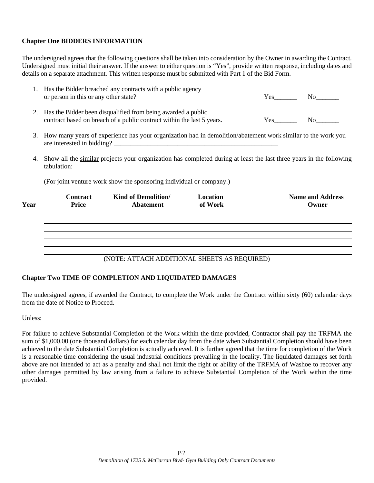## **Chapter One BIDDERS INFORMATION**

The undersigned agrees that the following questions shall be taken into consideration by the Owner in awarding the Contract. Undersigned must initial their answer. If the answer to either question is "Yes", provide written response, including dates and details on a separate attachment. This written response must be submitted with Part 1 of the Bid Form.

|    | <b>Contract</b>                       | <b>Kind of Demolition/</b>                                                                                                             | Location |     | <b>Name and Address</b> |
|----|---------------------------------------|----------------------------------------------------------------------------------------------------------------------------------------|----------|-----|-------------------------|
|    |                                       | (For joint venture work show the sponsoring individual or company.)                                                                    |          |     |                         |
| 4. | tabulation:                           | Show all the similar projects your organization has completed during at least the last three years in the following                    |          |     |                         |
| 3. |                                       | How many years of experience has your organization had in demolition/abatement work similar to the work you                            |          |     |                         |
| 2. |                                       | Has the Bidder been disqualified from being awarded a public<br>contract based on breach of a public contract within the last 5 years. |          | Yes | No r                    |
|    | or person in this or any other state? |                                                                                                                                        |          |     | $Yes$ No                |

#### (NOTE: ATTACH ADDITIONAL SHEETS AS REQUIRED)

#### **Chapter Two TIME OF COMPLETION AND LIQUIDATED DAMAGES**

The undersigned agrees, if awarded the Contract, to complete the Work under the Contract within sixty (60) calendar days from the date of Notice to Proceed.

Unless:

For failure to achieve Substantial Completion of the Work within the time provided, Contractor shall pay the TRFMA the sum of \$1,000.00 (one thousand dollars) for each calendar day from the date when Substantial Completion should have been achieved to the date Substantial Completion is actually achieved. It is further agreed that the time for completion of the Work is a reasonable time considering the usual industrial conditions prevailing in the locality. The liquidated damages set forth above are not intended to act as a penalty and shall not limit the right or ability of the TRFMA of Washoe to recover any other damages permitted by law arising from a failure to achieve Substantial Completion of the Work within the time provided.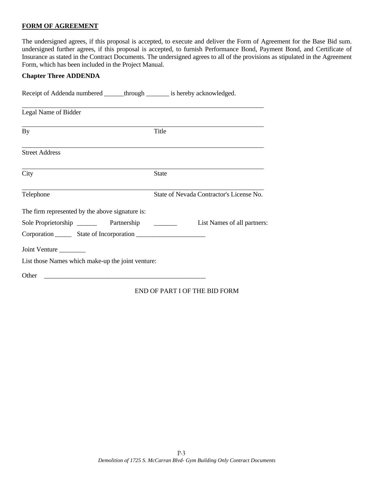#### **FORM OF AGREEMENT**

The undersigned agrees, if this proposal is accepted, to execute and deliver the Form of Agreement for the Base Bid sum. undersigned further agrees, if this proposal is accepted, to furnish Performance Bond, Payment Bond, and Certificate of Insurance as stated in the Contract Documents. The undersigned agrees to all of the provisions as stipulated in the Agreement Form, which has been included in the Project Manual.

#### **Chapter Three ADDENDA**

Receipt of Addenda numbered \_\_\_\_\_\_through \_\_\_\_\_\_\_\_ is hereby acknowledged.

| Legal Name of Bidder                              |                                          |
|---------------------------------------------------|------------------------------------------|
| By                                                | Title                                    |
| <b>Street Address</b>                             |                                          |
| City                                              | <b>State</b>                             |
| Telephone                                         | State of Nevada Contractor's License No. |
| The firm represented by the above signature is:   |                                          |
| Sole Proprietorship<br>Partnership                | List Names of all partners:              |
|                                                   |                                          |
| Joint Venture                                     |                                          |
| List those Names which make-up the joint venture: |                                          |
| Other                                             |                                          |

#### END OF PART I OF THE BID FORM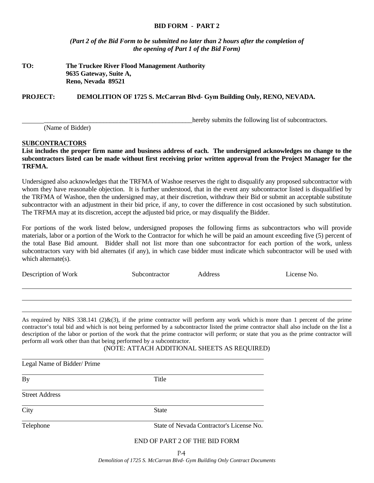#### **BID FORM - PART 2**

*(Part 2 of the Bid Form to be submitted no later than 2 hours after the completion of the opening of Part 1 of the Bid Form)* 

#### **TO: The Truckee River Flood Management Authority 9635 Gateway, Suite A, Reno, Nevada 89521**

**PROJECT: DEMOLITION OF 1725 S. McCarran Blvd- Gym Building Only, RENO, NEVADA.** 

hereby submits the following list of subcontractors.

(Name of Bidder)

#### **SUBCONTRACTORS**

**List includes the proper firm name and business address of each. The undersigned acknowledges no change to the subcontractors listed can be made without first receiving prior written approval from the Project Manager for the TRFMA.** 

Undersigned also acknowledges that the TRFMA of Washoe reserves the right to disqualify any proposed subcontractor with whom they have reasonable objection. It is further understood, that in the event any subcontractor listed is disqualified by the TRFMA of Washoe, then the undersigned may, at their discretion, withdraw their Bid or submit an acceptable substitute subcontractor with an adjustment in their bid price, if any, to cover the difference in cost occasioned by such substitution. The TRFMA may at its discretion, accept the adjusted bid price, or may disqualify the Bidder.

For portions of the work listed below, undersigned proposes the following firms as subcontractors who will provide materials, labor or a portion of the Work to the Contractor for which he will be paid an amount exceeding five (5) percent of the total Base Bid amount. Bidder shall not list more than one subcontractor for each portion of the work, unless subcontractors vary with bid alternates (if any), in which case bidder must indicate which subcontractor will be used with which alternate(s).

Description of Work Subcontractor Address License No.

 $\overline{\mathbf{R}}$ 

 $\overline{a}$ l

 $\overline{a}$ 

As required by NRS 338.141 (2) $\&$ (3), if the prime contractor will perform any work which is more than 1 percent of the prime contractor's total bid and which is not being performed by a subcontractor listed the prime contractor shall also include on the list a description of the labor or portion of the work that the prime contractor will perform; or state that you as the prime contractor will perform all work other than that being performed by a subcontractor.

#### (NOTE: ATTACH ADDITIONAL SHEETS AS REQUIRED)

| Legal Name of Bidder/ Prime |                                          |
|-----------------------------|------------------------------------------|
| <b>By</b>                   | Title                                    |
| <b>Street Address</b>       |                                          |
| City                        | <b>State</b>                             |
| Telephone                   | State of Nevada Contractor's License No. |
|                             | END OF PART 2 OF THE BID FORM            |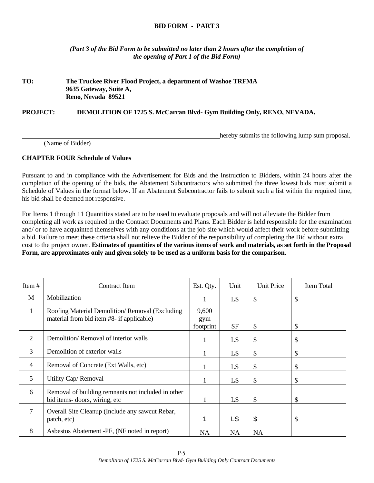#### **BID FORM - PART 3**

*(Part 3 of the Bid Form to be submitted no later than 2 hours after the completion of the opening of Part 1 of the Bid Form)* 

## **TO: The Truckee River Flood Project, a department of Washoe TRFMA 9635 Gateway, Suite A, Reno, Nevada 89521**

**PROJECT: DEMOLITION OF 1725 S. McCarran Blvd- Gym Building Only, RENO, NEVADA.** 

hereby submits the following lump sum proposal.

(Name of Bidder)

#### **CHAPTER FOUR Schedule of Values**

Pursuant to and in compliance with the Advertisement for Bids and the Instruction to Bidders, within 24 hours after the completion of the opening of the bids, the Abatement Subcontractors who submitted the three lowest bids must submit a Schedule of Values in the format below. If an Abatement Subcontractor fails to submit such a list within the required time, his bid shall be deemed not responsive.

For Items 1 through 11 Quantities stated are to be used to evaluate proposals and will not alleviate the Bidder from completing all work as required in the Contract Documents and Plans. Each Bidder is held responsible for the examination and/ or to have acquainted themselves with any conditions at the job site which would affect their work before submitting a bid. Failure to meet these criteria shall not relieve the Bidder of the responsibility of completing the Bid without extra cost to the project owner. **Estimates of quantities of the various items of work and materials, as set forth in the Proposal Form, are approximates only and given solely to be used as a uniform basis for the comparison.** 

| Item#          | Contract Item                                                                               | Est. Qty.                 | Unit      | <b>Unit Price</b> | Item Total |
|----------------|---------------------------------------------------------------------------------------------|---------------------------|-----------|-------------------|------------|
| M              | Mobilization                                                                                |                           | LS        | \$                | \$         |
| 1              | Roofing Material Demolition/Removal (Excluding<br>material from bid item #8- if applicable) | 9,600<br>gym<br>footprint | <b>SF</b> | \$                | \$         |
| 2              | Demolition/Removal of interior walls                                                        |                           | LS        | \$                | \$         |
| 3              | Demolition of exterior walls                                                                |                           | LS        | \$                | \$         |
| $\overline{4}$ | Removal of Concrete (Ext Walls, etc)                                                        |                           | LS        | \$                | \$         |
| 5              | Utility Cap/Removal                                                                         |                           | LS        | \$                | \$         |
| 6              | Removal of building remnants not included in other<br>bid items-doors, wiring, etc          |                           | LS        | \$                | \$         |
| 7              | Overall Site Cleanup (Include any sawcut Rebar,<br>patch, etc)                              |                           | <b>LS</b> | \$                | \$         |
| 8              | Asbestos Abatement -PF, (NF noted in report)                                                | <b>NA</b>                 | <b>NA</b> | <b>NA</b>         |            |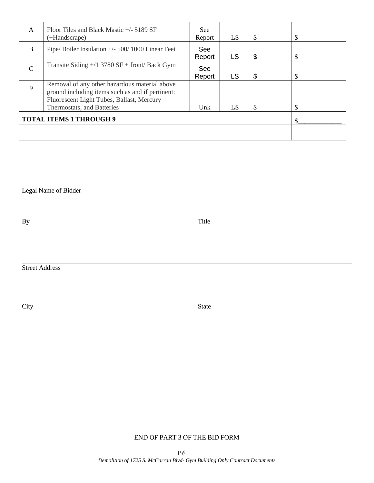| $\mathsf{A}$  | Floor Tiles and Black Mastic $+/- 5189$ SF<br>(+Handscrape)                                                                                    | <b>See</b><br>Report | LS        | \$<br>\$ |
|---------------|------------------------------------------------------------------------------------------------------------------------------------------------|----------------------|-----------|----------|
| B             | Pipe/Boiler Insulation $+/- 500/1000$ Linear Feet                                                                                              | See<br>Report        | <b>LS</b> | \$<br>\$ |
| $\mathcal{C}$ | Transite Siding $+$ /1 3780 SF + front/ Back Gym                                                                                               | See<br>Report        | <b>LS</b> | \$<br>\$ |
| $\mathbf Q$   | Removal of any other hazardous material above<br>ground including items such as and if pertinent:<br>Fluorescent Light Tubes, Ballast, Mercury | Unk                  | LS        | \$       |
|               | Thermostats, and Batteries<br><b>TOTAL ITEMS 1 THROUGH 9</b>                                                                                   |                      |           |          |
|               |                                                                                                                                                |                      |           |          |

#### Legal Name of Bidder

l

l

By Title

Street Address

City State

# END OF PART 3 OF THE BID FORM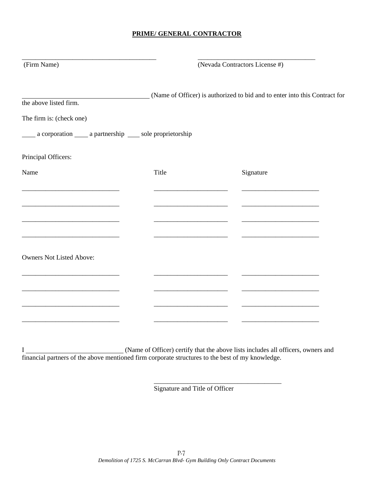# **PRIME/ GENERAL CONTRACTOR**

| (Firm Name)                                                                                                           |       | (Nevada Contractors License #)                                             |  |  |  |
|-----------------------------------------------------------------------------------------------------------------------|-------|----------------------------------------------------------------------------|--|--|--|
| the above listed firm.                                                                                                |       | (Name of Officer) is authorized to bid and to enter into this Contract for |  |  |  |
| The firm is: (check one)                                                                                              |       |                                                                            |  |  |  |
| _____ a corporation _____ a partnership _____ sole proprietorship                                                     |       |                                                                            |  |  |  |
| Principal Officers:                                                                                                   |       |                                                                            |  |  |  |
| Name                                                                                                                  | Title | Signature                                                                  |  |  |  |
|                                                                                                                       |       |                                                                            |  |  |  |
|                                                                                                                       |       |                                                                            |  |  |  |
|                                                                                                                       |       |                                                                            |  |  |  |
|                                                                                                                       |       |                                                                            |  |  |  |
| <b>Owners Not Listed Above:</b>                                                                                       |       |                                                                            |  |  |  |
| <u> 1989 - Johann John Stone, markin film yn y brening yn y brening yn y brening yn y brening y brening yn y bre</u>  |       |                                                                            |  |  |  |
| <u> 1989 - Johann John Stone, markin film yn y brening yn y brening yn y brening yn y brening yn y brening yn y b</u> |       |                                                                            |  |  |  |
|                                                                                                                       |       |                                                                            |  |  |  |
|                                                                                                                       |       |                                                                            |  |  |  |

I (Name of Officer) certify that the above lists includes all officers, owners and financial partners of the above mentioned firm corporate structures to the best of my knowledge.

 $\overline{\phantom{a}}$  , and the contract of the contract of the contract of the contract of the contract of the contract of the contract of the contract of the contract of the contract of the contract of the contract of the contrac

Signature and Title of Officer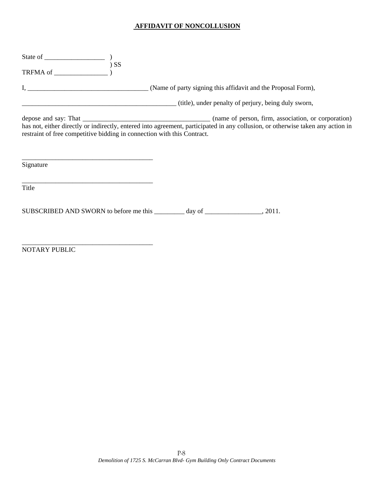## **AFFIDAVIT OF NONCOLLUSION**

| (title), under penalty of perjury, being duly sworn,                                                                                                                                                       |  |  |
|------------------------------------------------------------------------------------------------------------------------------------------------------------------------------------------------------------|--|--|
| has not, either directly or indirectly, entered into agreement, participated in any collusion, or otherwise taken any action in<br>restraint of free competitive bidding in connection with this Contract. |  |  |
| Signature                                                                                                                                                                                                  |  |  |
| Title                                                                                                                                                                                                      |  |  |
|                                                                                                                                                                                                            |  |  |

NOTARY PUBLIC

\_\_\_\_\_\_\_\_\_\_\_\_\_\_\_\_\_\_\_\_\_\_\_\_\_\_\_\_\_\_\_\_\_\_\_\_\_\_\_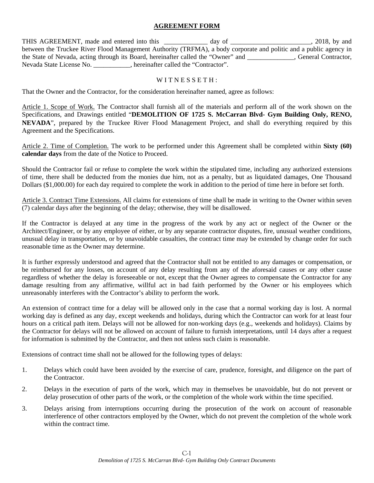### **AGREEMENT FORM**

THIS AGREEMENT, made and entered into this \_\_\_\_\_\_\_\_\_\_\_\_ day of \_\_\_\_\_\_\_\_\_\_\_\_\_\_\_\_\_\_\_, 2018, by and between the Truckee River Flood Management Authority (TRFMA), a body corporate and politic and a public agency in the State of Nevada, acting through its Board, hereinafter called the "Owner" and \_\_\_\_\_\_\_\_\_\_\_\_\_\_, General Contractor, Nevada State License No. \_\_\_\_\_\_\_\_\_\_\_, hereinafter called the "Contractor".

## WITNESSETH:

That the Owner and the Contractor, for the consideration hereinafter named, agree as follows:

Article 1. Scope of Work. The Contractor shall furnish all of the materials and perform all of the work shown on the Specifications, and Drawings entitled "**DEMOLITION OF 1725 S. McCarran Blvd- Gym Building Only, RENO, NEVADA**", prepared by the Truckee River Flood Management Project, and shall do everything required by this Agreement and the Specifications.

Article 2. Time of Completion. The work to be performed under this Agreement shall be completed within **Sixty (60) calendar days** from the date of the Notice to Proceed.

Should the Contractor fail or refuse to complete the work within the stipulated time, including any authorized extensions of time, there shall be deducted from the monies due him, not as a penalty, but as liquidated damages, One Thousand Dollars (\$1,000.00) for each day required to complete the work in addition to the period of time here in before set forth.

Article 3. Contract Time Extensions. All claims for extensions of time shall be made in writing to the Owner within seven (7) calendar days after the beginning of the delay; otherwise, they will be disallowed.

If the Contractor is delayed at any time in the progress of the work by any act or neglect of the Owner or the Architect/Engineer, or by any employee of either, or by any separate contractor disputes, fire, unusual weather conditions, unusual delay in transportation, or by unavoidable casualties, the contract time may be extended by change order for such reasonable time as the Owner may determine.

It is further expressly understood and agreed that the Contractor shall not be entitled to any damages or compensation, or be reimbursed for any losses, on account of any delay resulting from any of the aforesaid causes or any other cause regardless of whether the delay is foreseeable or not, except that the Owner agrees to compensate the Contractor for any damage resulting from any affirmative, willful act in bad faith performed by the Owner or his employees which unreasonably interferes with the Contractor's ability to perform the work.

An extension of contract time for a delay will be allowed only in the case that a normal working day is lost. A normal working day is defined as any day, except weekends and holidays, during which the Contractor can work for at least four hours on a critical path item. Delays will not be allowed for non-working days (e.g., weekends and holidays). Claims by the Contractor for delays will not be allowed on account of failure to furnish interpretations, until 14 days after a request for information is submitted by the Contractor, and then not unless such claim is reasonable.

Extensions of contract time shall not be allowed for the following types of delays:

- 1. Delays which could have been avoided by the exercise of care, prudence, foresight, and diligence on the part of the Contractor.
- 2. Delays in the execution of parts of the work, which may in themselves be unavoidable, but do not prevent or delay prosecution of other parts of the work, or the completion of the whole work within the time specified.
- 3. Delays arising from interruptions occurring during the prosecution of the work on account of reasonable interference of other contractors employed by the Owner, which do not prevent the completion of the whole work within the contract time.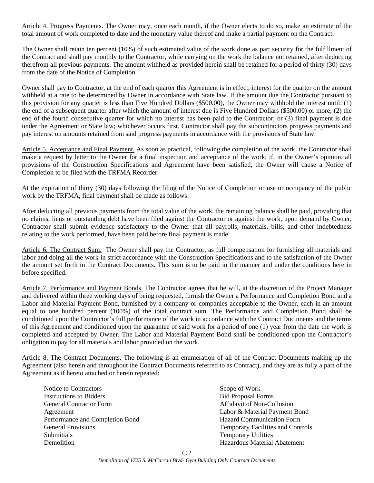Article 4. Progress Payments. The Owner may, once each month, if the Owner elects to do so, make an estimate of the total amount of work completed to date and the monetary value thereof and make a partial payment on the Contract.

The Owner shall retain ten percent (10%) of such estimated value of the work done as part security for the fulfillment of the Contract and shall pay monthly to the Contractor, while carrying on the work the balance not retained, after deducting therefrom all previous payments. The amount withheld as provided herein shall be retained for a period of thirty (30) days from the date of the Notice of Completion.

Owner shall pay to Contractor, at the end of each quarter this Agreement is in effect, interest for the quarter on the amount withheld at a rate to be determined by Owner in accordance with State law. If the amount due the Contractor pursuant to this provision for any quarter is less than Five Hundred Dollars (\$500.00), the Owner may withhold the interest until: (1) the end of a subsequent quarter after which the amount of interest due is Five Hundred Dollars (\$500.00) or more; (2) the end of the fourth consecutive quarter for which no interest has been paid to the Contractor; or (3) final payment is due under the Agreement or State law; whichever occurs first. Contractor shall pay the subcontractors progress payments and pay interest on amounts retained from said progress payments in accordance with the provisions of State law.

Article 5. Acceptance and Final Payment. As soon as practical, following the completion of the work, the Contractor shall make a request by letter to the Owner for a final inspection and acceptance of the work; if, in the Owner's opinion, all provisions of the Construction Specifications and Agreement have been satisfied, the Owner will cause a Notice of Completion to be filed with the TRFMA Recorder.

At the expiration of thirty (30) days following the filing of the Notice of Completion or use or occupancy of the public work by the TRFMA, final payment shall be made as follows:

After deducting all previous payments from the total value of the work, the remaining balance shall be paid, providing that no claims, liens or outstanding debt have been filed against the Contractor or against the work, upon demand by Owner, Contractor shall submit evidence satisfactory to the Owner that all payrolls, materials, bills, and other indebtedness relating to the work performed, have been paid before final payment is made.

Article 6. The Contract Sum. The Owner shall pay the Contractor, as full compensation for furnishing all materials and labor and doing all the work in strict accordance with the Construction Specifications and to the satisfaction of the Owner the amount set forth in the Contract Documents. This sum is to be paid in the manner and under the conditions here in before specified.

Article 7. Performance and Payment Bonds. The Contractor agrees that he will, at the discretion of the Project Manager and delivered within three working days of being requested, furnish the Owner a Performance and Completion Bond and a Labor and Material Payment Bond, furnished by a company or companies acceptable to the Owner, each in an amount equal to one hundred percent (100%) of the total contract sum. The Performance and Completion Bond shall be conditioned upon the Contractor's full performance of the work in accordance with the Contract Documents and the terms of this Agreement and conditioned upon the guarantee of said work for a period of one (1) year from the date the work is completed and accepted by Owner. The Labor and Material Payment Bond shall be conditioned upon the Contractor's obligation to pay for all materials and labor provided on the work.

Article 8. The Contract Documents. The following is an enumeration of all of the Contract Documents making up the Agreement (also herein and throughout the Contract Documents referred to as Contract), and they are as fully a part of the Agreement as if hereto attached or herein repeated:

- Notice to Contractors Scope of Work Instructions to Bidders and Bidders and Bid Proposal Forms Bid Proposal Forms General Contractor Form  $\overline{A}$  Affidavit of Non-Collusion Agreement Labor & Material Payment Bond Performance and Completion Bond Hazard Communication Form General Provisions Temporary Facilities and Controls Submittals Temporary Utilities **Demolition Hazardous Material Abatement**
-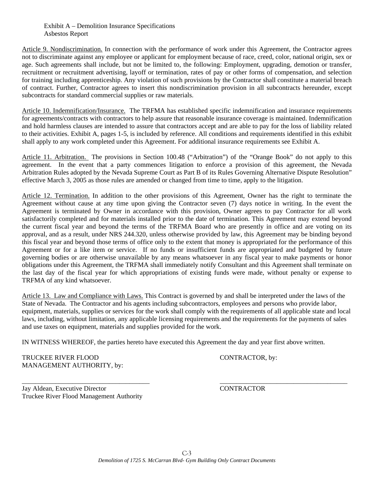#### Exhibit A – Demolition Insurance Specifications Asbestos Report

Article 9. Nondiscrimination. In connection with the performance of work under this Agreement, the Contractor agrees not to discriminate against any employee or applicant for employment because of race, creed, color, national origin, sex or age. Such agreements shall include, but not be limited to, the following: Employment, upgrading, demotion or transfer, recruitment or recruitment advertising, layoff or termination, rates of pay or other forms of compensation, and selection for training including apprenticeship. Any violation of such provisions by the Contractor shall constitute a material breach of contract. Further, Contractor agrees to insert this nondiscrimination provision in all subcontracts hereunder, except subcontracts for standard commercial supplies or raw materials.

Article 10. Indemnification/Insurance. The TRFMA has established specific indemnification and insurance requirements for agreements/contracts with contractors to help assure that reasonable insurance coverage is maintained. Indemnification and hold harmless clauses are intended to assure that contractors accept and are able to pay for the loss of liability related to their activities. Exhibit A, pages 1-5, is included by reference. All conditions and requirements identified in this exhibit shall apply to any work completed under this Agreement. For additional insurance requirements see Exhibit A.

Article 11. Arbitration. The provisions in Section 100.48 ("Arbitration") of the "Orange Book" do not apply to this agreement. In the event that a party commences litigation to enforce a provision of this agreement, the Nevada Arbitration Rules adopted by the Nevada Supreme Court as Part B of its Rules Governing Alternative Dispute Resolution" effective March 3, 2005 as those rules are amended or changed from time to time, apply to the litigation.

Article 12. Termination. In addition to the other provisions of this Agreement, Owner has the right to terminate the Agreement without cause at any time upon giving the Contractor seven (7) days notice in writing. In the event the Agreement is terminated by Owner in accordance with this provision, Owner agrees to pay Contractor for all work satisfactorily completed and for materials installed prior to the date of termination. This Agreement may extend beyond the current fiscal year and beyond the terms of the TRFMA Board who are presently in office and are voting on its approval, and as a result, under NRS 244.320, unless otherwise provided by law, this Agreement may be binding beyond this fiscal year and beyond those terms of office only to the extent that money is appropriated for the performance of this Agreement or for a like item or service. If no funds or insufficient funds are appropriated and budgeted by future governing bodies or are otherwise unavailable by any means whatsoever in any fiscal year to make payments or honor obligations under this Agreement, the TRFMA shall immediately notify Consultant and this Agreement shall terminate on the last day of the fiscal year for which appropriations of existing funds were made, without penalty or expense to TRFMA of any kind whatsoever.

Article 13. Law and Compliance with Laws. This Contract is governed by and shall be interpreted under the laws of the State of Nevada. The Contractor and his agents including subcontractors, employees and persons who provide labor, equipment, materials, supplies or services for the work shall comply with the requirements of all applicable state and local laws, including, without limitation, any applicable licensing requirements and the requirements for the payments of sales and use taxes on equipment, materials and supplies provided for the work.

\_\_\_\_\_\_\_\_\_\_\_\_\_\_\_\_\_\_\_\_\_\_\_\_\_\_\_\_\_\_\_\_\_\_\_\_\_\_ \_\_\_\_\_\_\_\_\_\_\_\_\_\_\_\_\_\_\_\_\_\_\_\_\_\_\_\_\_\_\_\_\_\_\_\_\_\_

IN WITNESS WHEREOF, the parties hereto have executed this Agreement the day and year first above written.

TRUCKEE RIVER FLOOD CONTRACTOR, by: MANAGEMENT AUTHORITY, by:

Jay Aldean, Executive Director CONTRACTOR Truckee River Flood Management Authority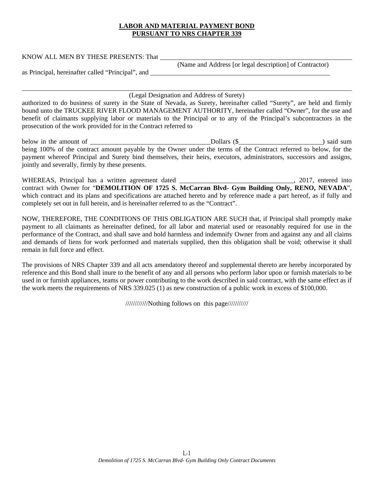#### **LABOR AND MATERIAL PAYMENT BOND PURSUANT TO NRS CHAPTER 339**

|--|

(Name and Address [or legal description] of Contractor)

<u> 1980 - Johann Barnett, fransk politik (f. 1980)</u>

as Principal, hereinafter called "Principal", and

l

(Legal Designation and Address of Surety)

authorized to do business of surety in the State of Nevada, as Surety, hereinafter called "Surety", are held and firmly bound unto the TRUCKEE RIVER FLOOD MANAGEMENT AUTHORITY, hereinafter called "Owner", for the use and benefit of claimants supplying labor or materials to the Principal or to any of the Principal's subcontractors in the prosecution of the work provided for in the Contract referred to

below in the amount of  $\Box$ being 100% of the contract amount payable by the Owner under the terms of the Contract referred to below, for the payment whereof Principal and Surety bind themselves, their heirs, executors, administrators, successors and assigns, jointly and severally, firmly by these presents.

WHEREAS, Principal has a written agreement dated \_\_\_\_\_\_\_\_\_\_\_\_\_\_\_\_\_\_\_\_\_\_\_\_\_\_\_\_\_\_\_, 2017, entered into contract with Owner for "**DEMOLITION OF 1725 S. McCarran Blvd- Gym Building Only, RENO, NEVADA**", which contract and its plans and specifications are attached hereto and by reference made a part hereof, as if fully and completely set out in full herein, and is hereinafter referred to as the "Contract".

NOW, THEREFORE, THE CONDITIONS OF THIS OBLIGATION ARE SUCH that, if Principal shall promptly make payment to all claimants as hereinafter defined, for all labor and material used or reasonably required for use in the performance of the Contract, and shall save and hold harmless and indemnify Owner from and against any and all claims and demands of liens for work performed and materials supplied, then this obligation shall be void; otherwise it shall remain in full force and effect.

The provisions of NRS Chapter 339 and all acts amendatory thereof and supplemental thereto are hereby incorporated by reference and this Bond shall inure to the benefit of any and all persons who perform labor upon or furnish materials to be used in or furnish appliances, teams or power contributing to the work described in said contract, with the same effect as if the work meets the requirements of NRS 339.025 (1) as new construction of a public work in excess of \$100,000.

////////////Nothing follows on this page///////////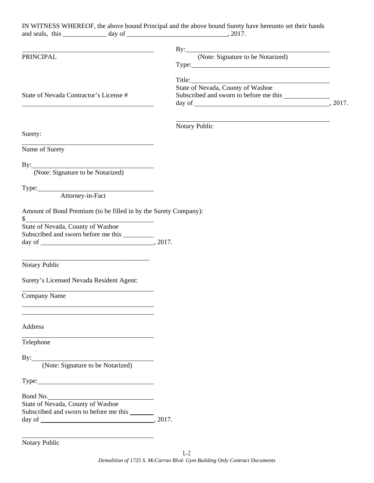|                                                                                                                                                                 | IN WITNESS WHEREOF, the above bound Principal and the above bound Surety have hereunto set their hands                                |  |
|-----------------------------------------------------------------------------------------------------------------------------------------------------------------|---------------------------------------------------------------------------------------------------------------------------------------|--|
| <u> 1980 - Johann Barn, mars ann an t-Amhain Aonaich an t-Aonaich an t-Aonaich ann an t-Aonaich ann an t-Aonaich</u>                                            |                                                                                                                                       |  |
| PRINCIPAL                                                                                                                                                       | By: (Note: Signature to be Notarized)                                                                                                 |  |
|                                                                                                                                                                 |                                                                                                                                       |  |
|                                                                                                                                                                 |                                                                                                                                       |  |
|                                                                                                                                                                 | State of Nevada, County of Washoe                                                                                                     |  |
| State of Nevada Contractor's License #<br><u> 1980 - Johann Barn, mars ann an t-Amhain Aonaichte ann an t-Aonaichte ann an t-Aonaichte ann an t-Aonaichte a</u> |                                                                                                                                       |  |
|                                                                                                                                                                 |                                                                                                                                       |  |
|                                                                                                                                                                 | <u> 1989 - Johann Barn, mars ann an t-Amhain Aonaich an t-Aonaich an t-Aonaich ann an t-Aonaich ann an t-Aonaich</u><br>Notary Public |  |
| Surety:                                                                                                                                                         |                                                                                                                                       |  |
|                                                                                                                                                                 |                                                                                                                                       |  |
| Name of Surety                                                                                                                                                  |                                                                                                                                       |  |
| By: (Note: Signature to be Notarized)                                                                                                                           |                                                                                                                                       |  |
|                                                                                                                                                                 |                                                                                                                                       |  |
|                                                                                                                                                                 |                                                                                                                                       |  |
| Attorney-in-Fact                                                                                                                                                |                                                                                                                                       |  |
| Amount of Bond Premium (to be filled in by the Surety Company):                                                                                                 |                                                                                                                                       |  |
| S                                                                                                                                                               |                                                                                                                                       |  |
| State of Nevada, County of Washoe                                                                                                                               |                                                                                                                                       |  |
|                                                                                                                                                                 |                                                                                                                                       |  |
|                                                                                                                                                                 |                                                                                                                                       |  |
| <b>Notary Public</b>                                                                                                                                            |                                                                                                                                       |  |
|                                                                                                                                                                 |                                                                                                                                       |  |
| Surety's Licensed Nevada Resident Agent:                                                                                                                        |                                                                                                                                       |  |
| Company Name                                                                                                                                                    |                                                                                                                                       |  |
|                                                                                                                                                                 |                                                                                                                                       |  |
|                                                                                                                                                                 |                                                                                                                                       |  |
| Address                                                                                                                                                         |                                                                                                                                       |  |
| Telephone                                                                                                                                                       |                                                                                                                                       |  |
|                                                                                                                                                                 |                                                                                                                                       |  |
| By: (Note: Signature to be Notarized)                                                                                                                           |                                                                                                                                       |  |
|                                                                                                                                                                 |                                                                                                                                       |  |
|                                                                                                                                                                 |                                                                                                                                       |  |
| Bond No.                                                                                                                                                        |                                                                                                                                       |  |
| State of Nevada, County of Washoe                                                                                                                               |                                                                                                                                       |  |
| Subscribed and sworn to before me this ______                                                                                                                   |                                                                                                                                       |  |
|                                                                                                                                                                 |                                                                                                                                       |  |
|                                                                                                                                                                 |                                                                                                                                       |  |
|                                                                                                                                                                 |                                                                                                                                       |  |

Notary Public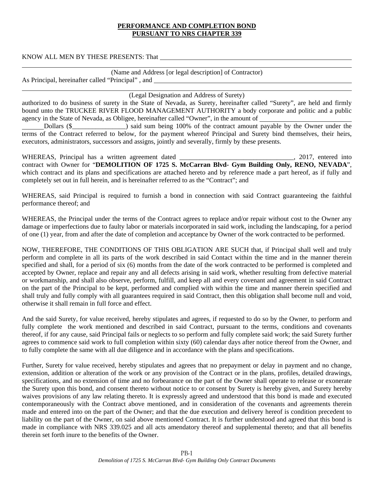#### **PERFORMANCE AND COMPLETION BOND PURSUANT TO NRS CHAPTER 339**

KNOW ALL MEN BY THESE PRESENTS: That

l

| (Name and Address [or legal description] of Contractor) |  |
|---------------------------------------------------------|--|
| As Principal, hereinafter called "Principal", and       |  |

(Legal Designation and Address of Surety)

<u> 1989 - Johann Stein, marwolaethau a bhann an t-Amhair Aonaichte an t-Amhair Aonaichte an t-Amhair Aonaichte a</u>

authorized to do business of surety in the State of Nevada, as Surety, hereinafter called "Surety", are held and firmly bound unto the TRUCKEE RIVER FLOOD MANAGEMENT AUTHORITY a body corporate and politic and a public agency in the State of Nevada, as Obligee, hereinafter called "Owner", in the amount of

Dollars (\$ terms of the Contract referred to below, for the payment whereof Principal and Surety bind themselves, their heirs, executors, administrators, successors and assigns, jointly and severally, firmly by these presents.

WHEREAS, Principal has a written agreement dated \_\_\_\_\_\_\_\_\_\_\_\_\_\_\_\_\_\_\_\_\_\_\_\_\_\_\_\_\_\_\_, 2017, entered into contract with Owner for "**DEMOLITION OF 1725 S. McCarran Blvd- Gym Building Only, RENO, NEVADA**", which contract and its plans and specifications are attached hereto and by reference made a part hereof, as if fully and completely set out in full herein, and is hereinafter referred to as the "Contract"; and

WHEREAS, said Principal is required to furnish a bond in connection with said Contract guaranteeing the faithful performance thereof; and

WHEREAS, the Principal under the terms of the Contract agrees to replace and/or repair without cost to the Owner any damage or imperfections due to faulty labor or materials incorporated in said work, including the landscaping, for a period of one (1) year, from and after the date of completion and acceptance by Owner of the work contracted to be performed.

NOW, THEREFORE, THE CONDITIONS OF THIS OBLIGATION ARE SUCH that, if Principal shall well and truly perform and complete in all its parts of the work described in said Contact within the time and in the manner therein specified and shall, for a period of six (6) months from the date of the work contracted to be performed is completed and accepted by Owner, replace and repair any and all defects arising in said work, whether resulting from defective material or workmanship, and shall also observe, perform, fulfill, and keep all and every covenant and agreement in said Contract on the part of the Principal to be kept, performed and complied with within the time and manner therein specified and shall truly and fully comply with all guarantees required in said Contract, then this obligation shall become null and void, otherwise it shall remain in full force and effect.

And the said Surety, for value received, hereby stipulates and agrees, if requested to do so by the Owner, to perform and fully complete the work mentioned and described in said Contract, pursuant to the terms, conditions and covenants thereof, if for any cause, said Principal fails or neglects to so perform and fully complete said work; the said Surety further agrees to commence said work to full completion within sixty (60) calendar days after notice thereof from the Owner, and to fully complete the same with all due diligence and in accordance with the plans and specifications.

Further, Surety for value received, hereby stipulates and agrees that no prepayment or delay in payment and no change, extension, addition or alteration of the work or any provision of the Contract or in the plans, profiles, detailed drawings, specifications, and no extension of time and no forbearance on the part of the Owner shall operate to release or exonerate the Surety upon this bond, and consent thereto without notice to or consent by Surety is hereby given, and Surety hereby waives provisions of any law relating thereto. It is expressly agreed and understood that this bond is made and executed contemporaneously with the Contract above mentioned, and in consideration of the covenants and agreements therein made and entered into on the part of the Owner; and that the due execution and delivery hereof is condition precedent to liability on the part of the Owner, on said above mentioned Contract. It is further understood and agreed that this bond is made in compliance with NRS 339.025 and all acts amendatory thereof and supplemental thereto; and that all benefits therein set forth inure to the benefits of the Owner.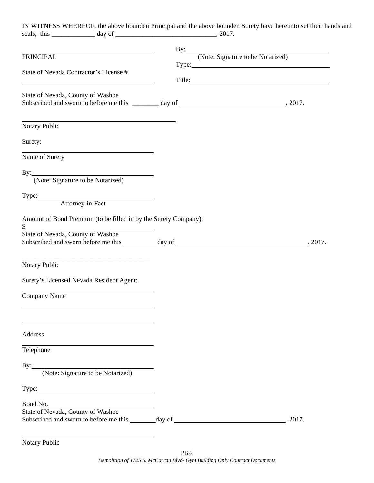| IN WITNESS WHEREOF, the above bounden Principal and the above bounden Surety have hereunto set their hands and                          |                                                                                                                                                                                                                                                                         |                                                                                                                                                                                                                                |
|-----------------------------------------------------------------------------------------------------------------------------------------|-------------------------------------------------------------------------------------------------------------------------------------------------------------------------------------------------------------------------------------------------------------------------|--------------------------------------------------------------------------------------------------------------------------------------------------------------------------------------------------------------------------------|
|                                                                                                                                         |                                                                                                                                                                                                                                                                         |                                                                                                                                                                                                                                |
| PRINCIPAL                                                                                                                               | By: (Note: Signature to be Notarized)<br>Type: The contract of the contract of the contract of the contract of the contract of the contract of the contract of the contract of the contract of the contract of the contract of the contract of the contract of the cont |                                                                                                                                                                                                                                |
| State of Nevada Contractor's License #<br><u> 1989 - Johann Stoff, amerikansk politiker (d. 1989)</u>                                   |                                                                                                                                                                                                                                                                         | Title: The contract of the contract of the contract of the contract of the contract of the contract of the contract of the contract of the contract of the contract of the contract of the contract of the contract of the con |
| State of Nevada, County of Washoe                                                                                                       |                                                                                                                                                                                                                                                                         |                                                                                                                                                                                                                                |
| Notary Public                                                                                                                           |                                                                                                                                                                                                                                                                         |                                                                                                                                                                                                                                |
| Surety:                                                                                                                                 |                                                                                                                                                                                                                                                                         |                                                                                                                                                                                                                                |
| Name of Surety                                                                                                                          |                                                                                                                                                                                                                                                                         |                                                                                                                                                                                                                                |
| By: (Note: Signature to be Notarized)                                                                                                   |                                                                                                                                                                                                                                                                         |                                                                                                                                                                                                                                |
| Type: Attorney-in-Fact                                                                                                                  |                                                                                                                                                                                                                                                                         |                                                                                                                                                                                                                                |
| Amount of Bond Premium (to be filled in by the Surety Company):<br>$\frac{1}{2}$<br>State of Nevada, County of Washoe                   |                                                                                                                                                                                                                                                                         |                                                                                                                                                                                                                                |
| <u> 1980 - Johann John Stone, markin fan it fjort fan it fjort fan it fjort fan it fjort fan it fjort fan it fjort</u><br>Notary Public |                                                                                                                                                                                                                                                                         |                                                                                                                                                                                                                                |
| Surety's Licensed Nevada Resident Agent:                                                                                                |                                                                                                                                                                                                                                                                         |                                                                                                                                                                                                                                |
| Company Name                                                                                                                            |                                                                                                                                                                                                                                                                         |                                                                                                                                                                                                                                |
| Address                                                                                                                                 |                                                                                                                                                                                                                                                                         |                                                                                                                                                                                                                                |
| Telephone                                                                                                                               |                                                                                                                                                                                                                                                                         |                                                                                                                                                                                                                                |
|                                                                                                                                         |                                                                                                                                                                                                                                                                         |                                                                                                                                                                                                                                |
|                                                                                                                                         |                                                                                                                                                                                                                                                                         |                                                                                                                                                                                                                                |
|                                                                                                                                         |                                                                                                                                                                                                                                                                         |                                                                                                                                                                                                                                |
| By: (Note: Signature to be Notarized)<br>Bond No.<br>State of Nevada, County of Washoe                                                  |                                                                                                                                                                                                                                                                         |                                                                                                                                                                                                                                |

Notary Public

l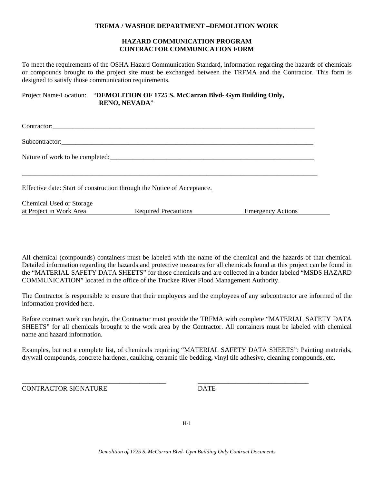#### **TRFMA / WASHOE DEPARTMENT –DEMOLITION WORK**

#### **HAZARD COMMUNICATION PROGRAM CONTRACTOR COMMUNICATION FORM**

To meet the requirements of the OSHA Hazard Communication Standard, information regarding the hazards of chemicals or compounds brought to the project site must be exchanged between the TRFMA and the Contractor. This form is designed to satisfy those communication requirements.

Project Name/Location: "**DEMOLITION OF 1725 S. McCarran Blvd- Gym Building Only, RENO, NEVADA**"

| Subcontractor:                                                          |                             |                          |  |  |  |  |  |
|-------------------------------------------------------------------------|-----------------------------|--------------------------|--|--|--|--|--|
| Nature of work to be completed:                                         |                             |                          |  |  |  |  |  |
| Effective date: Start of construction through the Notice of Acceptance. |                             |                          |  |  |  |  |  |
| Chemical Used or Storage<br>at Project in Work Area                     | <b>Required Precautions</b> | <b>Emergency Actions</b> |  |  |  |  |  |

All chemical (compounds) containers must be labeled with the name of the chemical and the hazards of that chemical. Detailed information regarding the hazards and protective measures for all chemicals found at this project can be found in the "MATERIAL SAFETY DATA SHEETS" for those chemicals and are collected in a binder labeled "MSDS HAZARD COMMUNICATION" located in the office of the Truckee River Flood Management Authority.

The Contractor is responsible to ensure that their employees and the employees of any subcontractor are informed of the information provided here.

Before contract work can begin, the Contractor must provide the TRFMA with complete "MATERIAL SAFETY DATA SHEETS" for all chemicals brought to the work area by the Contractor. All containers must be labeled with chemical name and hazard information.

Examples, but not a complete list, of chemicals requiring "MATERIAL SAFETY DATA SHEETS": Painting materials, drywall compounds, concrete hardener, caulking, ceramic tile bedding, vinyl tile adhesive, cleaning compounds, etc.

\_\_\_\_\_\_\_\_\_\_\_\_\_\_\_\_\_\_\_\_\_\_\_\_\_\_\_\_\_\_\_\_\_\_\_\_\_\_\_\_\_\_\_ \_\_\_\_\_\_\_\_\_\_\_\_\_\_\_\_\_\_\_\_\_\_\_\_\_\_\_\_\_\_\_\_\_

CONTRACTOR SIGNATURE DATE

H-1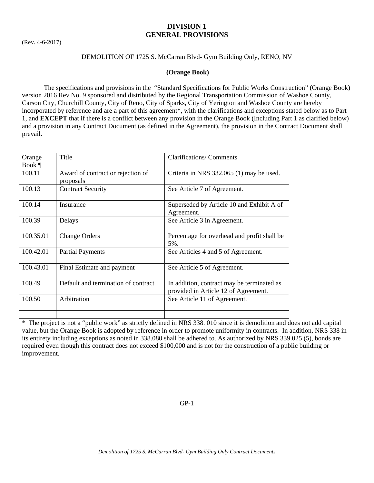# **DIVISION 1 GENERAL PROVISIONS**

(Rev. 4-6-2017)

## DEMOLITION OF 1725 S. McCarran Blvd- Gym Building Only, RENO, NV

#### **(Orange Book)**

 The specifications and provisions in the "Standard Specifications for Public Works Construction" (Orange Book) version 2016 Rev No. 9 sponsored and distributed by the Regional Transportation Commission of Washoe County, Carson City, Churchill County, City of Reno, City of Sparks, City of Yerington and Washoe County are hereby incorporated by reference and are a part of this agreement\*, with the clarifications and exceptions stated below as to Part 1, and **EXCEPT** that if there is a conflict between any provision in the Orange Book (Including Part 1 as clarified below) and a provision in any Contract Document (as defined in the Agreement), the provision in the Contract Document shall prevail.

| Orange    | Title                                          | <b>Clarifications/ Comments</b>                                                    |
|-----------|------------------------------------------------|------------------------------------------------------------------------------------|
| Book $\P$ |                                                |                                                                                    |
| 100.11    | Award of contract or rejection of<br>proposals | Criteria in NRS 332.065 (1) may be used.                                           |
| 100.13    | <b>Contract Security</b>                       | See Article 7 of Agreement.                                                        |
| 100.14    | Insurance                                      | Superseded by Article 10 and Exhibit A of<br>Agreement.                            |
| 100.39    | Delays                                         | See Article 3 in Agreement.                                                        |
| 100.35.01 | <b>Change Orders</b>                           | Percentage for overhead and profit shall be<br>5%.                                 |
| 100.42.01 | <b>Partial Payments</b>                        | See Articles 4 and 5 of Agreement.                                                 |
| 100.43.01 | Final Estimate and payment                     | See Article 5 of Agreement.                                                        |
| 100.49    | Default and termination of contract            | In addition, contract may be terminated as<br>provided in Article 12 of Agreement. |
| 100.50    | Arbitration                                    | See Article 11 of Agreement.                                                       |
|           |                                                |                                                                                    |

\* The project is not a "public work" as strictly defined in NRS 338. 010 since it is demolition and does not add capital value, but the Orange Book is adopted by reference in order to promote uniformity in contracts. In addition, NRS 338 in its entirety including exceptions as noted in 338.080 shall be adhered to. As authorized by NRS 339.025 (5), bonds are required even though this contract does not exceed \$100,000 and is not for the construction of a public building or improvement.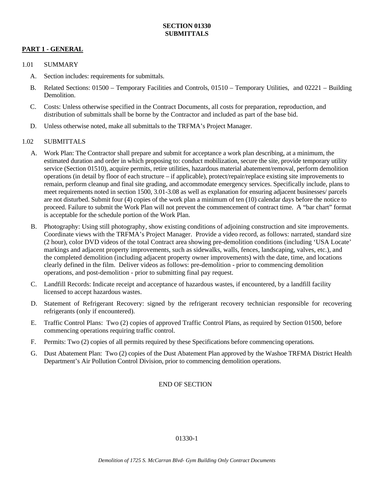## **PART 1 - GENERAL**

#### 1.01 SUMMARY

- A. Section includes: requirements for submittals.
- B. Related Sections: 01500 Temporary Facilities and Controls, 01510 Temporary Utilities, and 02221 Building **Demolition**
- C. Costs: Unless otherwise specified in the Contract Documents, all costs for preparation, reproduction, and distribution of submittals shall be borne by the Contractor and included as part of the base bid.
- D. Unless otherwise noted, make all submittals to the TRFMA's Project Manager.

#### 1.02 SUBMITTALS

- A. Work Plan: The Contractor shall prepare and submit for acceptance a work plan describing, at a minimum, the estimated duration and order in which proposing to: conduct mobilization, secure the site, provide temporary utility service (Section 01510), acquire permits, retire utilities, hazardous material abatement/removal, perform demolition operations (in detail by floor of each structure – if applicable), protect/repair/replace existing site improvements to remain, perform cleanup and final site grading, and accommodate emergency services. Specifically include, plans to meet requirements noted in section 1500, 3.01-3.08 as well as explanation for ensuring adjacent businesses/ parcels are not disturbed. Submit four (4) copies of the work plan a minimum of ten (10) calendar days before the notice to proceed. Failure to submit the Work Plan will not prevent the commencement of contract time. A "bar chart" format is acceptable for the schedule portion of the Work Plan.
- B. Photography: Using still photography, show existing conditions of adjoining construction and site improvements. Coordinate views with the TRFMA's Project Manager. Provide a video record, as follows: narrated, standard size (2 hour), color DVD videos of the total Contract area showing pre-demolition conditions (including 'USA Locate' markings and adjacent property improvements, such as sidewalks, walls, fences, landscaping, valves, etc.), and the completed demolition (including adjacent property owner improvements) with the date, time, and locations clearly defined in the film. Deliver videos as follows: pre-demolition - prior to commencing demolition operations, and post-demolition - prior to submitting final pay request.
- C. Landfill Records: Indicate receipt and acceptance of hazardous wastes, if encountered, by a landfill facility licensed to accept hazardous wastes.
- D. Statement of Refrigerant Recovery: signed by the refrigerant recovery technician responsible for recovering refrigerants (only if encountered).
- E. Traffic Control Plans: Two (2) copies of approved Traffic Control Plans, as required by Section 01500, before commencing operations requiring traffic control.
- F. Permits: Two (2) copies of all permits required by these Specifications before commencing operations.
- G. Dust Abatement Plan: Two (2) copies of the Dust Abatement Plan approved by the Washoe TRFMA District Health Department's Air Pollution Control Division, prior to commencing demolition operations.

# END OF SECTION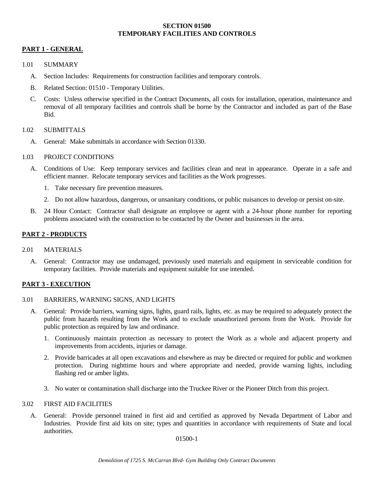### **SECTION 01500 TEMPORARY FACILITIES AND CONTROLS**

#### **PART 1 - GENERAL**

#### 1.01 SUMMARY

- A. Section Includes: Requirements for construction facilities and temporary controls.
- B. Related Section: 01510 Temporary Utilities.
- C. Costs: Unless otherwise specified in the Contract Documents, all costs for installation, operation, maintenance and removal of all temporary facilities and controls shall be borne by the Contractor and included as part of the Base Bid.

#### 1.02 SUBMITTALS

A. General: Make submittals in accordance with Section 01330.

#### 1.03 PROJECT CONDITIONS

- A. Conditions of Use: Keep temporary services and facilities clean and neat in appearance. Operate in a safe and efficient manner. Relocate temporary services and facilities as the Work progresses.
	- 1. Take necessary fire prevention measures.
	- 2. Do not allow hazardous, dangerous, or unsanitary conditions, or public nuisances to develop or persist on-site.
- B. 24 Hour Contact: Contractor shall designate an employee or agent with a 24-hour phone number for reporting problems associated with the construction to be contacted by the Owner and businesses in the area.

#### **PART 2 - PRODUCTS**

- 2.01 MATERIALS
	- A. General: Contractor may use undamaged, previously used materials and equipment in serviceable condition for temporary facilities. Provide materials and equipment suitable for use intended.

#### **PART 3 - EXECUTION**

- 3.01 BARRIERS, WARNING SIGNS, AND LIGHTS
	- A. General: Provide barriers, warning signs, lights, guard rails, lights, etc. as may be required to adequately protect the public from hazards resulting from the Work and to exclude unauthorized persons from the Work. Provide for public protection as required by law and ordinance.
		- 1. Continuously maintain protection as necessary to protect the Work as a whole and adjacent property and improvements from accidents, injuries or damage.
		- 2. Provide barricades at all open excavations and elsewhere as may be directed or required for public and workmen protection. During nighttime hours and where appropriate and needed, provide warning lights, including flashing red or amber lights.
		- 3. No water or contamination shall discharge into the Truckee River or the Pioneer Ditch from this project.

#### 3.02 FIRST AID FACILITIES

 A. General: Provide personnel trained in first aid and certified as approved by Nevada Department of Labor and Industries. Provide first aid kits on site; types and quantities in accordance with requirements of State and local authorities.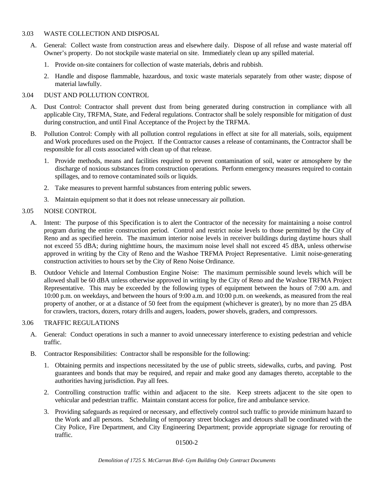#### 3.03 WASTE COLLECTION AND DISPOSAL

- A. General: Collect waste from construction areas and elsewhere daily. Dispose of all refuse and waste material off Owner's property. Do not stockpile waste material on site. Immediately clean up any spilled material.
	- 1. Provide on-site containers for collection of waste materials, debris and rubbish.
	- 2. Handle and dispose flammable, hazardous, and toxic waste materials separately from other waste; dispose of material lawfully.

#### 3.04 DUST AND POLLUTION CONTROL

- A. Dust Control: Contractor shall prevent dust from being generated during construction in compliance with all applicable City, TRFMA, State, and Federal regulations. Contractor shall be solely responsible for mitigation of dust during construction, and until Final Acceptance of the Project by the TRFMA.
- B. Pollution Control: Comply with all pollution control regulations in effect at site for all materials, soils, equipment and Work procedures used on the Project. If the Contractor causes a release of contaminants, the Contractor shall be responsible for all costs associated with clean up of that release.
	- 1. Provide methods, means and facilities required to prevent contamination of soil, water or atmosphere by the discharge of noxious substances from construction operations. Perform emergency measures required to contain spillages, and to remove contaminated soils or liquids.
	- 2. Take measures to prevent harmful substances from entering public sewers.
	- 3. Maintain equipment so that it does not release unnecessary air pollution.

#### 3.05 NOISE CONTROL

- A. Intent: The purpose of this Specification is to alert the Contractor of the necessity for maintaining a noise control program during the entire construction period. Control and restrict noise levels to those permitted by the City of Reno and as specified herein. The maximum interior noise levels in receiver buildings during daytime hours shall not exceed 55 dBA; during nighttime hours, the maximum noise level shall not exceed 45 dBA, unless otherwise approved in writing by the City of Reno and the Washoe TRFMA Project Representative. Limit noise-generating construction activities to hours set by the City of Reno Noise Ordinance.
- B. Outdoor Vehicle and Internal Combustion Engine Noise: The maximum permissible sound levels which will be allowed shall be 60 dBA unless otherwise approved in writing by the City of Reno and the Washoe TRFMA Project Representative. This may be exceeded by the following types of equipment between the hours of 7:00 a.m. and 10:00 p.m. on weekdays, and between the hours of 9:00 a.m. and 10:00 p.m. on weekends, as measured from the real property of another, or at a distance of 50 feet from the equipment (whichever is greater), by no more than 25 dBA for crawlers, tractors, dozers, rotary drills and augers, loaders, power shovels, graders, and compressors.

#### 3.06 TRAFFIC REGULATIONS

- A. General: Conduct operations in such a manner to avoid unnecessary interference to existing pedestrian and vehicle traffic.
- B. Contractor Responsibilities: Contractor shall be responsible for the following:
	- 1. Obtaining permits and inspections necessitated by the use of public streets, sidewalks, curbs, and paving. Post guarantees and bonds that may be required, and repair and make good any damages thereto, acceptable to the authorities having jurisdiction. Pay all fees.
	- 2. Controlling construction traffic within and adjacent to the site. Keep streets adjacent to the site open to vehicular and pedestrian traffic. Maintain constant access for police, fire and ambulance service.
	- 3. Providing safeguards as required or necessary, and effectively control such traffic to provide minimum hazard to the Work and all persons. Scheduling of temporary street blockages and detours shall be coordinated with the City Police, Fire Department, and City Engineering Department; provide appropriate signage for rerouting of traffic.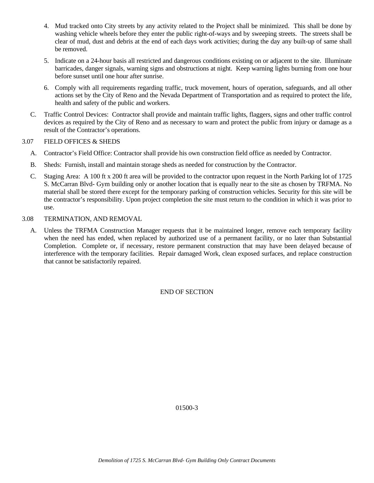- 4. Mud tracked onto City streets by any activity related to the Project shall be minimized. This shall be done by washing vehicle wheels before they enter the public right-of-ways and by sweeping streets. The streets shall be clear of mud, dust and debris at the end of each days work activities; during the day any built-up of same shall be removed.
- 5. Indicate on a 24-hour basis all restricted and dangerous conditions existing on or adjacent to the site. Illuminate barricades, danger signals, warning signs and obstructions at night. Keep warning lights burning from one hour before sunset until one hour after sunrise.
- 6. Comply with all requirements regarding traffic, truck movement, hours of operation, safeguards, and all other actions set by the City of Reno and the Nevada Department of Transportation and as required to protect the life, health and safety of the public and workers.
- C. Traffic Control Devices: Contractor shall provide and maintain traffic lights, flaggers, signs and other traffic control devices as required by the City of Reno and as necessary to warn and protect the public from injury or damage as a result of the Contractor's operations.

## 3.07 FIELD OFFICES & SHEDS

- A. Contractor's Field Office: Contractor shall provide his own construction field office as needed by Contractor.
- B. Sheds: Furnish, install and maintain storage sheds as needed for construction by the Contractor.
- C. Staging Area: A 100 ft x 200 ft area will be provided to the contractor upon request in the North Parking lot of 1725 S. McCarran Blvd- Gym building only or another location that is equally near to the site as chosen by TRFMA. No material shall be stored there except for the temporary parking of construction vehicles. Security for this site will be the contractor's responsibility. Upon project completion the site must return to the condition in which it was prior to use.
- 3.08 TERMINATION, AND REMOVAL
	- A. Unless the TRFMA Construction Manager requests that it be maintained longer, remove each temporary facility when the need has ended, when replaced by authorized use of a permanent facility, or no later than Substantial Completion. Complete or, if necessary, restore permanent construction that may have been delayed because of interference with the temporary facilities. Repair damaged Work, clean exposed surfaces, and replace construction that cannot be satisfactorily repaired.

END OF SECTION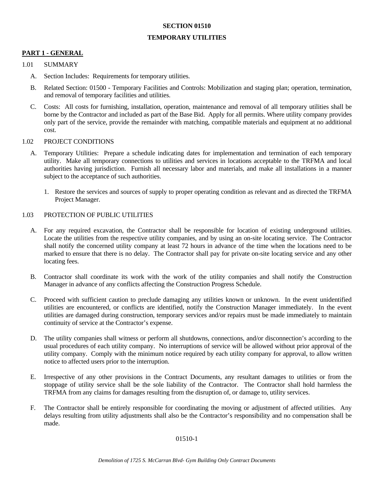#### **SECTION 01510**

#### **TEMPORARY UTILITIES**

## **PART 1 - GENERAL**

#### 1.01 SUMMARY

- A. Section Includes: Requirements for temporary utilities.
- B. Related Section: 01500 Temporary Facilities and Controls: Mobilization and staging plan; operation, termination, and removal of temporary facilities and utilities.
- C. Costs: All costs for furnishing, installation, operation, maintenance and removal of all temporary utilities shall be borne by the Contractor and included as part of the Base Bid. Apply for all permits. Where utility company provides only part of the service, provide the remainder with matching, compatible materials and equipment at no additional cost.

#### 1.02 PROJECT CONDITIONS

- A. Temporary Utilities: Prepare a schedule indicating dates for implementation and termination of each temporary utility. Make all temporary connections to utilities and services in locations acceptable to the TRFMA and local authorities having jurisdiction. Furnish all necessary labor and materials, and make all installations in a manner subject to the acceptance of such authorities.
	- 1. Restore the services and sources of supply to proper operating condition as relevant and as directed the TRFMA Project Manager.

#### 1.03 PROTECTION OF PUBLIC UTILITIES

- A. For any required excavation, the Contractor shall be responsible for location of existing underground utilities. Locate the utilities from the respective utility companies, and by using an on-site locating service. The Contractor shall notify the concerned utility company at least 72 hours in advance of the time when the locations need to be marked to ensure that there is no delay. The Contractor shall pay for private on-site locating service and any other locating fees.
- B. Contractor shall coordinate its work with the work of the utility companies and shall notify the Construction Manager in advance of any conflicts affecting the Construction Progress Schedule.
- C. Proceed with sufficient caution to preclude damaging any utilities known or unknown. In the event unidentified utilities are encountered, or conflicts are identified, notify the Construction Manager immediately. In the event utilities are damaged during construction, temporary services and/or repairs must be made immediately to maintain continuity of service at the Contractor's expense.
- D. The utility companies shall witness or perform all shutdowns, connections, and/or disconnection's according to the usual procedures of each utility company. No interruptions of service will be allowed without prior approval of the utility company. Comply with the minimum notice required by each utility company for approval, to allow written notice to affected users prior to the interruption.
- E. Irrespective of any other provisions in the Contract Documents, any resultant damages to utilities or from the stoppage of utility service shall be the sole liability of the Contractor. The Contractor shall hold harmless the TRFMA from any claims for damages resulting from the disruption of, or damage to, utility services.
- F. The Contractor shall be entirely responsible for coordinating the moving or adjustment of affected utilities. Any delays resulting from utility adjustments shall also be the Contractor's responsibility and no compensation shall be made.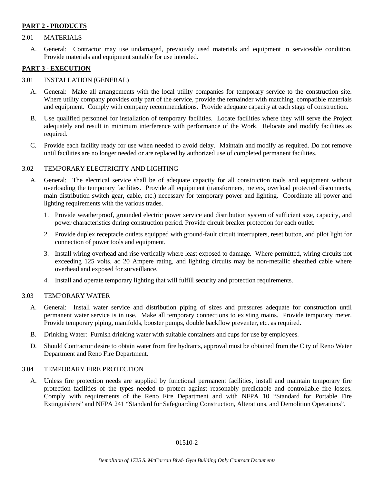### **PART 2 - PRODUCTS**

#### 2.01 MATERIALS

 A. General: Contractor may use undamaged, previously used materials and equipment in serviceable condition. Provide materials and equipment suitable for use intended.

### **PART 3 - EXECUTION**

#### 3.01 INSTALLATION (GENERAL)

- A. General: Make all arrangements with the local utility companies for temporary service to the construction site. Where utility company provides only part of the service, provide the remainder with matching, compatible materials and equipment. Comply with company recommendations. Provide adequate capacity at each stage of construction.
- B. Use qualified personnel for installation of temporary facilities. Locate facilities where they will serve the Project adequately and result in minimum interference with performance of the Work. Relocate and modify facilities as required.
- C. Provide each facility ready for use when needed to avoid delay. Maintain and modify as required. Do not remove until facilities are no longer needed or are replaced by authorized use of completed permanent facilities.

#### 3.02 TEMPORARY ELECTRICITY AND LIGHTING

- A. General: The electrical service shall be of adequate capacity for all construction tools and equipment without overloading the temporary facilities. Provide all equipment (transformers, meters, overload protected disconnects, main distribution switch gear, cable, etc.) necessary for temporary power and lighting. Coordinate all power and lighting requirements with the various trades.
	- 1. Provide weatherproof, grounded electric power service and distribution system of sufficient size, capacity, and power characteristics during construction period. Provide circuit breaker protection for each outlet.
	- 2. Provide duplex receptacle outlets equipped with ground-fault circuit interrupters, reset button, and pilot light for connection of power tools and equipment.
	- 3. Install wiring overhead and rise vertically where least exposed to damage. Where permitted, wiring circuits not exceeding 125 volts, ac 20 Ampere rating, and lighting circuits may be non-metallic sheathed cable where overhead and exposed for surveillance.
	- 4. Install and operate temporary lighting that will fulfill security and protection requirements.

#### 3.03 TEMPORARY WATER

- A. General: Install water service and distribution piping of sizes and pressures adequate for construction until permanent water service is in use. Make all temporary connections to existing mains. Provide temporary meter. Provide temporary piping, manifolds, booster pumps, double backflow preventer, etc. as required.
- B. Drinking Water: Furnish drinking water with suitable containers and cups for use by employees.
- D. Should Contractor desire to obtain water from fire hydrants, approval must be obtained from the City of Reno Water Department and Reno Fire Department.

#### 3.04 TEMPORARY FIRE PROTECTION

 A. Unless fire protection needs are supplied by functional permanent facilities, install and maintain temporary fire protection facilities of the types needed to protect against reasonably predictable and controllable fire losses. Comply with requirements of the Reno Fire Department and with NFPA 10 "Standard for Portable Fire Extinguishers" and NFPA 241 "Standard for Safeguarding Construction, Alterations, and Demolition Operations".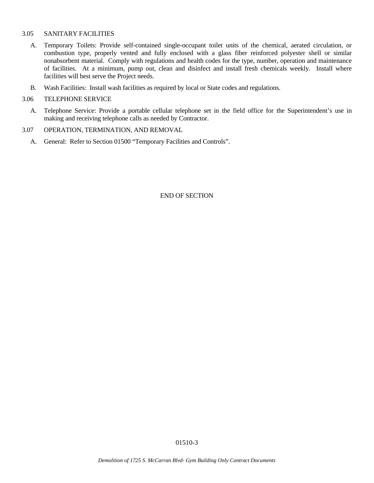#### 3.05 SANITARY FACILITIES

- A. Temporary Toilets: Provide self-contained single-occupant toilet units of the chemical, aerated circulation, or combustion type, properly vented and fully enclosed with a glass fiber reinforced polyester shell or similar nonabsorbent material. Comply with regulations and health codes for the type, number, operation and maintenance of facilities. At a minimum, pump out, clean and disinfect and install fresh chemicals weekly. Install where facilities will best serve the Project needs.
- B. Wash Facilities: Install wash facilities as required by local or State codes and regulations.

#### 3.06 TELEPHONE SERVICE

 A. Telephone Service: Provide a portable cellular telephone set in the field office for the Superintendent's use in making and receiving telephone calls as needed by Contractor.

#### 3.07 OPERATION, TERMINATION, AND REMOVAL

A. General: Refer to Section 01500 "Temporary Facilities and Controls".

END OF SECTION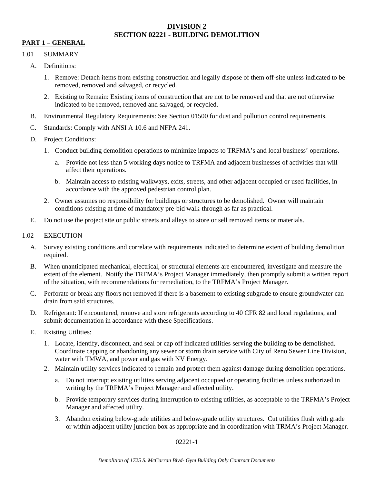# **DIVISION 2 SECTION 02221 - BUILDING DEMOLITION**

# **PART 1 – GENERAL**

### 1.01 SUMMARY

- A. Definitions:
	- 1. Remove: Detach items from existing construction and legally dispose of them off-site unless indicated to be removed, removed and salvaged, or recycled.
	- 2. Existing to Remain: Existing items of construction that are not to be removed and that are not otherwise indicated to be removed, removed and salvaged, or recycled.
- B. Environmental Regulatory Requirements: See Section 01500 for dust and pollution control requirements.
- C. Standards: Comply with ANSI A 10.6 and NFPA 241.
- D. Project Conditions:
	- 1. Conduct building demolition operations to minimize impacts to TRFMA's and local business' operations.
		- a. Provide not less than 5 working days notice to TRFMA and adjacent businesses of activities that will affect their operations.
		- b. Maintain access to existing walkways, exits, streets, and other adjacent occupied or used facilities, in accordance with the approved pedestrian control plan.
	- 2. Owner assumes no responsibility for buildings or structures to be demolished. Owner will maintain conditions existing at time of mandatory pre-bid walk-through as far as practical.
- E. Do not use the project site or public streets and alleys to store or sell removed items or materials.

## 1.02 EXECUTION

- A. Survey existing conditions and correlate with requirements indicated to determine extent of building demolition required.
- B. When unanticipated mechanical, electrical, or structural elements are encountered, investigate and measure the extent of the element. Notify the TRFMA's Project Manager immediately, then promptly submit a written report of the situation, with recommendations for remediation, to the TRFMA's Project Manager.
- C. Perforate or break any floors not removed if there is a basement to existing subgrade to ensure groundwater can drain from said structures.
- D. Refrigerant: If encountered, remove and store refrigerants according to 40 CFR 82 and local regulations, and submit documentation in accordance with these Specifications.
- E. Existing Utilities:
	- 1. Locate, identify, disconnect, and seal or cap off indicated utilities serving the building to be demolished. Coordinate capping or abandoning any sewer or storm drain service with City of Reno Sewer Line Division, water with TMWA, and power and gas with NV Energy.
	- 2. Maintain utility services indicated to remain and protect them against damage during demolition operations.
		- a. Do not interrupt existing utilities serving adjacent occupied or operating facilities unless authorized in writing by the TRFMA's Project Manager and affected utility.
		- b. Provide temporary services during interruption to existing utilities, as acceptable to the TRFMA's Project Manager and affected utility.
		- 3. Abandon existing below-grade utilities and below-grade utility structures. Cut utilities flush with grade or within adjacent utility junction box as appropriate and in coordination with TRMA's Project Manager.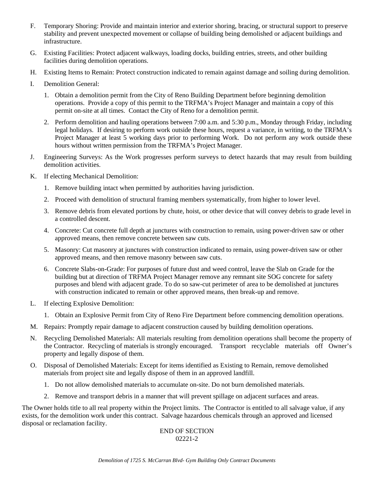- F. Temporary Shoring: Provide and maintain interior and exterior shoring, bracing, or structural support to preserve stability and prevent unexpected movement or collapse of building being demolished or adjacent buildings and infrastructure.
- G. Existing Facilities: Protect adjacent walkways, loading docks, building entries, streets, and other building facilities during demolition operations.
- H. Existing Items to Remain: Protect construction indicated to remain against damage and soiling during demolition.
- I. Demolition General:
	- 1. Obtain a demolition permit from the City of Reno Building Department before beginning demolition operations. Provide a copy of this permit to the TRFMA's Project Manager and maintain a copy of this permit on-site at all times. Contact the City of Reno for a demolition permit.
	- 2. Perform demolition and hauling operations between 7:00 a.m. and 5:30 p.m., Monday through Friday, including legal holidays. If desiring to perform work outside these hours, request a variance, in writing, to the TRFMA's Project Manager at least 5 working days prior to performing Work. Do not perform any work outside these hours without written permission from the TRFMA's Project Manager.
- J. Engineering Surveys: As the Work progresses perform surveys to detect hazards that may result from building demolition activities.
- K. If electing Mechanical Demolition:
	- 1. Remove building intact when permitted by authorities having jurisdiction.
	- 2. Proceed with demolition of structural framing members systematically, from higher to lower level.
	- 3. Remove debris from elevated portions by chute, hoist, or other device that will convey debris to grade level in a controlled descent.
	- 4. Concrete: Cut concrete full depth at junctures with construction to remain, using power-driven saw or other approved means, then remove concrete between saw cuts.
	- 5. Masonry: Cut masonry at junctures with construction indicated to remain, using power-driven saw or other approved means, and then remove masonry between saw cuts.
	- 6. Concrete Slabs-on-Grade: For purposes of future dust and weed control, leave the Slab on Grade for the building but at direction of TRFMA Project Manager remove any remnant site SOG concrete for safety purposes and blend with adjacent grade. To do so saw-cut perimeter of area to be demolished at junctures with construction indicated to remain or other approved means, then break-up and remove.
- L. If electing Explosive Demolition:
	- 1. Obtain an Explosive Permit from City of Reno Fire Department before commencing demolition operations.
- M. Repairs: Promptly repair damage to adjacent construction caused by building demolition operations.
- N. Recycling Demolished Materials: All materials resulting from demolition operations shall become the property of the Contractor. Recycling of materials is strongly encouraged. Transport recyclable materials off Owner's property and legally dispose of them.
- O. Disposal of Demolished Materials: Except for items identified as Existing to Remain, remove demolished materials from project site and legally dispose of them in an approved landfill.
	- 1. Do not allow demolished materials to accumulate on-site. Do not burn demolished materials.
	- 2. Remove and transport debris in a manner that will prevent spillage on adjacent surfaces and areas.

The Owner holds title to all real property within the Project limits. The Contractor is entitled to all salvage value, if any exists, for the demolition work under this contract. Salvage hazardous chemicals through an approved and licensed disposal or reclamation facility.

#### END OF SECTION 02221-2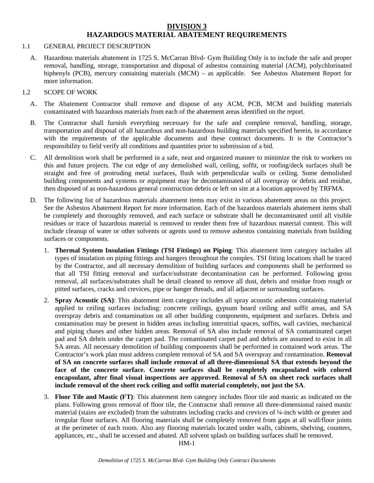## **DIVISION 3 HAZARDOUS MATERIAL ABATEMENT REQUIREMENTS**

#### 1.1 GENERAL PROJECT DESCRIPTION

A. Hazardous materials abatement in 1725 S. McCarran Blvd- Gym Building Only is to include the safe and proper removal, handling, storage, transportation and disposal of asbestos containing material (ACM), polychlorinated biphenyls (PCB), mercury containing materials (MCM) – as applicable. See Asbestos Abatement Report for more information.

#### 1.2 SCOPE OF WORK

- A. The Abatement Contractor shall remove and dispose of any ACM, PCB, MCM and building materials contaminated with hazardous materials from each of the abatement areas identified on the report.
- B. The Contractor shall furnish everything necessary for the safe and complete removal, handling, storage, transportation and disposal of all hazardous and non-hazardous building materials specified herein, in accordance with the requirements of the applicable documents and these contract documents. It is the Contractor's responsibility to field verify all conditions and quantities prior to submission of a bid.
- C. All demolition work shall be performed in a safe, neat and organized manner to minimize the risk to workers on this and future projects. The cut edge of any demolished wall, ceiling, soffit, or roofing/deck surfaces shall be straight and free of protruding metal surfaces, flush with perpendicular walls or ceiling. Some demolished building components and systems or equipment may be decontaminated of all overspray or debris and residue, then disposed of as non-hazardous general construction debris or left on site at a location approved by TRFMA.
- D. The following list of hazardous materials abatement items may exist in various abatement areas on this project. See the Asbestos Abatement Report for more information. Each of the hazardous materials abatement items shall be completely and thoroughly removed, and each surface or substrate shall be decontaminated until all visible residues or trace of hazardous material is removed to render them free of hazardous material content. This will include cleanup of water or other solvents or agents used to remove asbestos containing materials from building surfaces or components.
	- 1. **Thermal System Insulation Fittings (TSI Fittings) on Piping**: This abatement item category includes all types of insulation on piping fittings and hangers throughout the complex. TSI fitting locations shall be traced by the Contractor, and all necessary demolition of building surfaces and components shall be performed so that all TSI fitting removal and surface/substrate decontamination can be performed. Following gross removal, all surfaces/substrates shall be detail cleaned to remove all dust, debris and residue from rough or pitted surfaces, cracks and crevices, pipe or hanger threads, and all adjacent or surrounding surfaces.
	- 2. **Spray Acoustic (SA)**: This abatement item category includes all spray acoustic asbestos containing material applied to ceiling surfaces including: concrete ceilings, gypsum board ceiling and soffit areas, and SA overspray debris and contamination on all other building components, equipment and surfaces. Debris and contamination may be present in hidden areas including interstitial spaces, soffits, wall cavities, mechanical and piping chases and other hidden areas. Removal of SA also include removal of SA contaminated carpet pad and SA debris under the carpet pad. The contaminated carpet pad and debris are assumed to exist in all SA areas. All necessary demolition of building components shall be performed in contained work areas. The Contractor's work plan must address complete removal of SA and SA overspray and contamination. **Removal of SA on concrete surfaces shall include removal of all three-dimensional SA that extends beyond the face of the concrete surface. Concrete surfaces shall be completely encapsulated with colored encapsulant, after final visual inspections are approved. Removal of SA on sheet rock surfaces shall include removal of the sheet rock ceiling and soffit material completely, not just the SA**.
	- 3. **Floor Tile and Mastic (FT)**: This abatement item category includes floor tile and mastic as indicated on the plans. Following gross removal of floor tile, the Contractor shall remove all three-dimensional raised mastic material (stains are excluded) from the substrates including cracks and crevices of ¼-inch width or greater and irregular floor surfaces. All flooring materials shall be completely removed from gaps at all wall/floor joints at the perimeter of each room. Also any flooring materials located under walls, cabinets, shelving, counters, appliances, etc., shall be accessed and abated. All solvent splash on building surfaces shall be removed.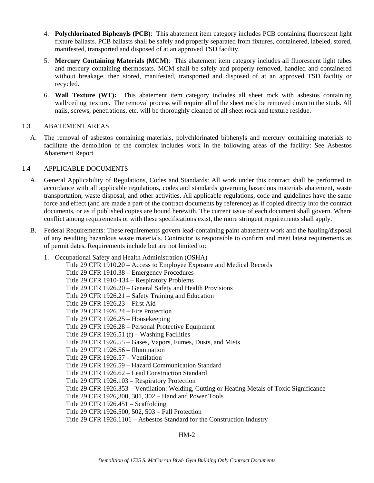- 4. **Polychlorinated Biphenyls (PCB)**: This abatement item category includes PCB containing fluorescent light fixture ballasts. PCB ballasts shall be safely and properly separated from fixtures, containered, labeled, stored, manifested, transported and disposed of at an approved TSD facility.
- 5. **Mercury Containing Materials (MCM)**: This abatement item category includes all fluorescent light tubes and mercury containing thermostats. MCM shall be safely and properly removed, handled and containered without breakage, then stored, manifested, transported and disposed of at an approved TSD facility or recycled.
- 6. **Wall Texture (WT):** This abatement item category includes all sheet rock with asbestos containing wall/ceiling texture. The removal process will require all of the sheet rock be removed down to the studs. All nails, screws, penetrations, etc. will be thoroughly cleaned of all sheet rock and texture residue.

## 1.3 ABATEMENT AREAS

A. The removal of asbestos containing materials, polychlorinated biphenyls and mercury containing materials to facilitate the demolition of the complex includes work in the following areas of the facility: See Asbestos Abatement Report

#### 1.4 APPLICABLE DOCUMENTS

- A. General Applicability of Regulations, Codes and Standards: All work under this contract shall be performed in accordance with all applicable regulations, codes and standards governing hazardous materials abatement, waste transportation, waste disposal, and other activities. All applicable regulations, code and guidelines have the same force and effect (and are made a part of the contract documents by reference) as if copied directly into the contract documents, or as if published copies are bound herewith. The current issue of each document shall govern. Where conflict among requirements or with these specifications exist, the more stringent requirements shall apply.
- B. Federal Requirements: These requirements govern lead-containing paint abatement work and the hauling/disposal of any resulting hazardous waste materials. Contractor is responsible to confirm and meet latest requirements as of permit dates. Requirements include but are not limited to:

| 1. | Occupational Safety and Health Administration (OSHA)                                          |
|----|-----------------------------------------------------------------------------------------------|
|    | Title 29 CFR 1910.20 – Access to Employee Exposure and Medical Records                        |
|    | Title 29 CFR 1910.38 - Emergency Procedures                                                   |
|    | Title 29 CFR 1910-134 – Respiratory Problems                                                  |
|    | Title 29 CFR 1926.20 – General Safety and Health Provisions                                   |
|    | Title 29 CFR 1926.21 – Safety Training and Education                                          |
|    | Title 29 CFR 1926.23 – First Aid                                                              |
|    | Title 29 CFR 1926.24 – Fire Protection                                                        |
|    | Title 29 CFR $1926.25$ – Housekeeping                                                         |
|    | Title 29 CFR 1926.28 – Personal Protective Equipment                                          |
|    | Title 29 CFR 1926.51 $(f)$ – Washing Facilities                                               |
|    | Title 29 CFR 1926.55 – Gases, Vapors, Fumes, Dusts, and Mists                                 |
|    | Title 29 CFR 1926.56 - Illumination                                                           |
|    | Title 29 CFR 1926.57 - Ventilation                                                            |
|    | Title 29 CFR 1926.59 – Hazard Communication Standard                                          |
|    | Title 29 CFR 1926.62 – Lead Construction Standard                                             |
|    | Title 29 CFR 1926.103 - Respiratory Protection                                                |
|    | Title 29 CFR 1926.353 – Ventilation: Welding, Cutting or Heating Metals of Toxic Significance |
|    | Title 29 CFR 1926, 300, 301, 302 – Hand and Power Tools                                       |
|    | Title 29 CFR $1926.451 -$ Scaffolding                                                         |
|    | Title 29 CFR 1926.500, 502, 503 – Fall Protection                                             |
|    | Title 29 CFR 1926.1101 – Asbestos Standard for the Construction Industry                      |
|    |                                                                                               |

HM-2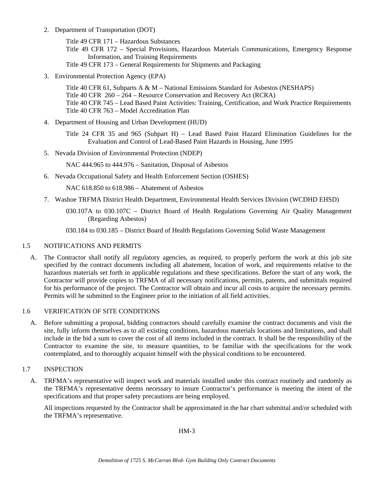2. Department of Transportation (DOT)

Title 49 CFR 171 – Hazardous Substances

Title 49 CFR 172 – Special Provisions, Hazardous Materials Communications, Emergency Response Information, and Training Requirements

Title 49 CFR 173 – General Requirements for Shipments and Packaging

3. Environmental Protection Agency (EPA)

Title 40 CFR 61, Subparts A & M – National Emissions Standard for Asbestos (NESHAPS) Title 40 CFR 260 – 264 – Resource Conservation and Recovery Act (RCRA) Title 40 CFR 745 – Lead Based Paint Activities: Training, Certification, and Work Practice Requirements Title 40 CFR 763 – Model Accreditation Plan

4. Department of Housing and Urban Development (HUD)

Title 24 CFR 35 and 965 (Subpart H) – Lead Based Paint Hazard Elimination Guidelines for the Evaluation and Control of Lead-Based Paint Hazards in Housing, June 1995

5. Nevada Division of Environmental Protection (NDEP)

NAC 444.965 to 444.976 – Sanitation, Disposal of Asbestos

6. Nevada Occupational Safety and Health Enforcement Section (OSHES)

NAC 618.850 to 618.986 – Abatement of Asbestos

- 7. Washoe TRFMA District Health Department, Environmental Health Services Division (WCDHD EHSD)
	- 030.107A to 030.107C District Board of Health Regulations Governing Air Quality Management (Regarding Asbestos)
	- 030.184 to 030.185 District Board of Health Regulations Governing Solid Waste Management

#### 1.5 NOTIFICATIONS AND PERMITS

A. The Contractor shall notify all regulatory agencies, as required, to properly perform the work at this job site specified by the contract documents including all abatement, location of work, and requirements relative to the hazardous materials set forth in applicable regulations and these specifications. Before the start of any work, the Contractor will provide copies to TRFMA of all necessary notifications, permits, patents, and submittals required for his performance of the project. The Contractor will obtain and incur all costs to acquire the necessary permits. Permits will be submitted to the Engineer prior to the initiation of all field activities.

#### 1.6 VERIFICATION OF SITE CONDITIONS

A. Before submitting a proposal, bidding contractors should carefully examine the contract documents and visit the site, fully inform themselves as to all existing conditions, hazardous materials locations and limitations, and shall include in the bid a sum to cover the cost of all items included in the contract. It shall be the responsibility of the Contractor to examine the site, to measure quantities, to be familiar with the specifications for the work contemplated, and to thoroughly acquaint himself with the physical conditions to be encountered.

#### 1.7 INSPECTION

A. TRFMA's representative will inspect work and materials installed under this contract routinely and randomly as the TRFMA's representative deems necessary to insure Contractor's performance is meeting the intent of the specifications and that proper safety precautions are being employed.

 All inspections requested by the Contractor shall be approximated in the bar chart submittal and/or scheduled with the TRFMA's representative.

HM-3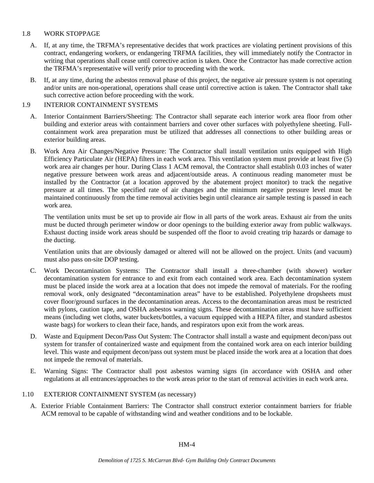#### 1.8 WORK STOPPAGE

- A. If, at any time, the TRFMA's representative decides that work practices are violating pertinent provisions of this contract, endangering workers, or endangering TRFMA facilities, they will immediately notify the Contractor in writing that operations shall cease until corrective action is taken. Once the Contractor has made corrective action the TRFMA's representative will verify prior to proceeding with the work.
- B. If, at any time, during the asbestos removal phase of this project, the negative air pressure system is not operating and/or units are non-operational, operations shall cease until corrective action is taken. The Contractor shall take such corrective action before proceeding with the work.

## 1.9 INTERIOR CONTAINMENT SYSTEMS

- A. Interior Containment Barriers/Sheeting: The Contractor shall separate each interior work area floor from other building and exterior areas with containment barriers and cover other surfaces with polyethylene sheeting. Fullcontainment work area preparation must be utilized that addresses all connections to other building areas or exterior building areas.
- B. Work Area Air Changes/Negative Pressure: The Contractor shall install ventilation units equipped with High Efficiency Particulate Air (HEPA) filters in each work area. This ventilation system must provide at least five (5) work area air changes per hour. During Class 1 ACM removal, the Contractor shall establish 0.03 inches of water negative pressure between work areas and adjacent/outside areas. A continuous reading manometer must be installed by the Contractor (at a location approved by the abatement project monitor) to track the negative pressure at all times. The specified rate of air changes and the minimum negative pressure level must be maintained continuously from the time removal activities begin until clearance air sample testing is passed in each work area.

 The ventilation units must be set up to provide air flow in all parts of the work areas. Exhaust air from the units must be ducted through perimeter window or door openings to the building exterior away from public walkways. Exhaust ducting inside work areas should be suspended off the floor to avoid creating trip hazards or damage to the ducting.

 Ventilation units that are obviously damaged or altered will not be allowed on the project. Units (and vacuum) must also pass on-site DOP testing.

- C. Work Decontamination Systems: The Contractor shall install a three-chamber (with shower) worker decontamination system for entrance to and exit from each contained work area. Each decontamination system must be placed inside the work area at a location that does not impede the removal of materials. For the roofing removal work, only designated "decontamination areas" have to be established. Polyethylene dropsheets must cover floor/ground surfaces in the decontamination areas. Access to the decontamination areas must be restricted with pylons, caution tape, and OSHA asbestos warning signs. These decontamination areas must have sufficient means (including wet cloths, water buckets/bottles, a vacuum equipped with a HEPA filter, and standard asbestos waste bags) for workers to clean their face, hands, and respirators upon exit from the work areas.
- D. Waste and Equipment Decon/Pass Out System: The Contractor shall install a waste and equipment decon/pass out system for transfer of containerized waste and equipment from the contained work area on each interior building level. This waste and equipment decon/pass out system must be placed inside the work area at a location that does not impede the removal of materials.
- E. Warning Signs: The Contractor shall post asbestos warning signs (in accordance with OSHA and other regulations at all entrances/approaches to the work areas prior to the start of removal activities in each work area.
- 1.10 EXTERIOR CONTAINMENT SYSTEM (as necessary)
	- A. Exterior Friable Containment Barriers: The Contractor shall construct exterior containment barriers for friable ACM removal to be capable of withstanding wind and weather conditions and to be lockable.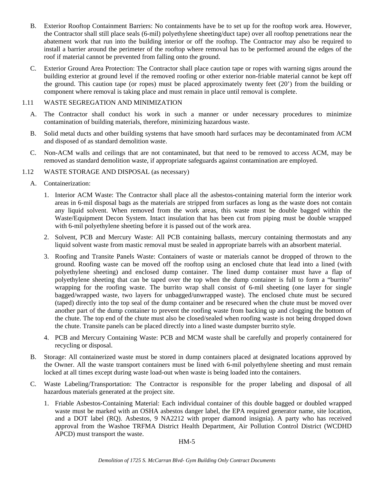- B. Exterior Rooftop Containment Barriers: No containments have be to set up for the rooftop work area. However, the Contractor shall still place seals (6-mil) polyethylene sheeting/duct tape) over all rooftop penetrations near the abatement work that run into the building interior or off the rooftop. The Contractor may also be required to install a barrier around the perimeter of the rooftop where removal has to be performed around the edges of the roof if material cannot be prevented from falling onto the ground.
- C. Exterior Ground Area Protection: The Contractor shall place caution tape or ropes with warning signs around the building exterior at ground level if the removed roofing or other exterior non-friable material cannot be kept off the ground. This caution tape (or ropes) must be placed approximately twenty feet (20') from the building or component where removal is taking place and must remain in place until removal is complete.

### 1.11 WASTE SEGREGATION AND MINIMIZATION

- A. The Contractor shall conduct his work in such a manner or under necessary procedures to minimize contamination of building materials, therefore, minimizing hazardous waste.
- B. Solid metal ducts and other building systems that have smooth hard surfaces may be decontaminated from ACM and disposed of as standard demolition waste.
- C. Non-ACM walls and ceilings that are not contaminated, but that need to be removed to access ACM, may be removed as standard demolition waste, if appropriate safeguards against contamination are employed.

## 1.12 WASTE STORAGE AND DISPOSAL (as necessary)

- A. Containerization:
	- 1. Interior ACM Waste: The Contractor shall place all the asbestos-containing material form the interior work areas in 6-mil disposal bags as the materials are stripped from surfaces as long as the waste does not contain any liquid solvent. When removed from the work areas, this waste must be double bagged within the Waste/Equipment Decon System. Intact insulation that has been cut from piping must be double wrapped with 6-mil polyethylene sheeting before it is passed out of the work area.
	- 2. Solvent, PCB and Mercury Waste: All PCB containing ballasts, mercury containing thermostats and any liquid solvent waste from mastic removal must be sealed in appropriate barrels with an absorbent material.
	- 3. Roofing and Transite Panels Waste: Containers of waste or materials cannot be dropped of thrown to the ground. Roofing waste can be moved off the rooftop using an enclosed chute that lead into a lined (with polyethylene sheeting) and enclosed dump container. The lined dump container must have a flap of polyethylene sheeting that can be taped over the top when the dump container is full to form a "burrito" wrapping for the roofing waste. The burrito wrap shall consist of 6-mil sheeting (one layer for single bagged/wrapped waste, two layers for unbagged/unwrapped waste). The enclosed chute must be secured (taped) directly into the top seal of the dump container and be resecured when the chute must be moved over another part of the dump container to prevent the roofing waste from backing up and clogging the bottom of the chute. The top end of the chute must also be closed/sealed when roofing waste is not being dropped down the chute. Transite panels can be placed directly into a lined waste dumpster burrito style.
	- 4. PCB and Mercury Containing Waste: PCB and MCM waste shall be carefully and properly containered for recycling or disposal.
- B. Storage: All containerized waste must be stored in dump containers placed at designated locations approved by the Owner. All the waste transport containers must be lined with 6-mil polyethylene sheeting and must remain locked at all times except during waste load-out when waste is being loaded into the containers.
- C. Waste Labeling/Transportation: The Contractor is responsible for the proper labeling and disposal of all hazardous materials generated at the project site.
	- 1. Friable Asbestos-Containing Material: Each individual container of this double bagged or doubled wrapped waste must be marked with an OSHA asbestos danger label, the EPA required generator name, site location, and a DOT label (RQ). Asbestos, 9 NA2212 with proper diamond insignia). A party who has received approval from the Washoe TRFMA District Health Department, Air Pollution Control District (WCDHD APCD) must transport the waste.

HM-5